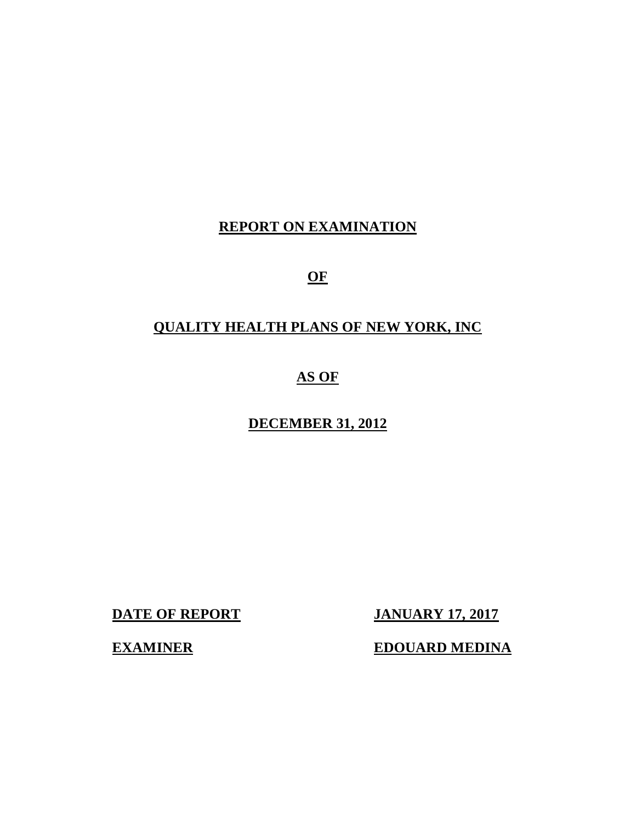# **REPORT ON EXAMINATION**

**OF** 

# **QUALITY HEALTH PLANS OF NEW YORK, INC**

 **AS OF** 

 **DECEMBER 31, 2012** 

**DATE OF REPORT JANUARY 17, 2017** 

**EDOUARD MEDINA** 

**EXAMINER**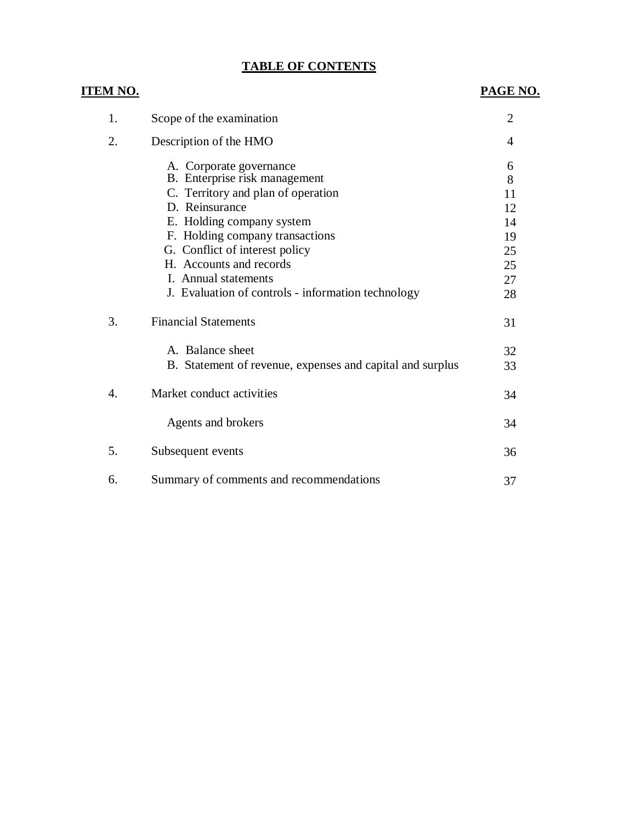## **TABLE OF CONTENTS**

| <u>ITEM NO.</u> |                                                           | PAGE NO.       |
|-----------------|-----------------------------------------------------------|----------------|
| 1.              | Scope of the examination                                  | $\overline{2}$ |
| 2.              | Description of the HMO                                    | 4              |
|                 | A. Corporate governance                                   | 6              |
|                 | B. Enterprise risk management                             | 8              |
|                 | C. Territory and plan of operation                        | 11             |
|                 | D. Reinsurance                                            | 12             |
|                 | E. Holding company system                                 | 14             |
|                 | F. Holding company transactions                           | 19             |
|                 | G. Conflict of interest policy                            | 25             |
|                 | H. Accounts and records                                   | 25             |
|                 | I. Annual statements                                      | 27             |
|                 | J. Evaluation of controls - information technology        | 28             |
| 3.              | <b>Financial Statements</b>                               | 31             |
|                 | A. Balance sheet                                          | 32             |
|                 | B. Statement of revenue, expenses and capital and surplus | 33             |
| 4.              | Market conduct activities                                 | 34             |
|                 | Agents and brokers                                        | 34             |
| 5.              | Subsequent events                                         | 36             |
| 6.              | Summary of comments and recommendations                   | 37             |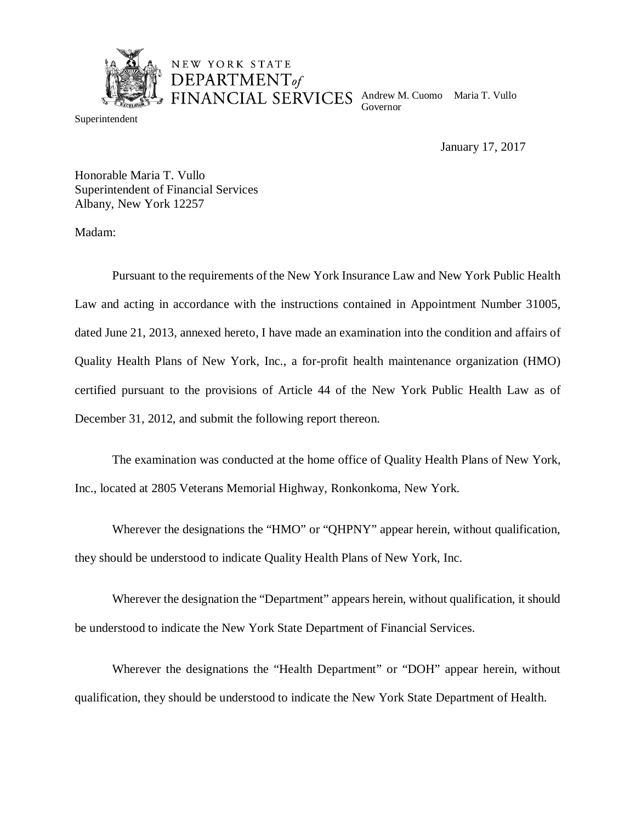

Superintendent

 Andrew M. Cuomo Maria T. Vullo Governor

January 17, 2017

 Honorable Maria T. Vullo Superintendent of Financial Services Albany, New York 12257

NEW YORK STATE DEPARTMENT<sub>of</sub>

Madam:

 Pursuant to the requirements of the New York Insurance Law and New York Public Health Law and acting in accordance with the instructions contained in Appointment Number 31005, dated June 21, 2013, annexed hereto, I have made an examination into the condition and affairs of Quality Health Plans of New York, Inc., a for-profit health maintenance organization (HMO) certified pursuant to the provisions of Article 44 of the New York Public Health Law as of December 31, 2012, and submit the following report thereon.

 Inc., located at 2805 Veterans Memorial Highway, Ronkonkoma, New York. The examination was conducted at the home office of Quality Health Plans of New York,

 Wherever the designations the "HMO" or "QHPNY" appear herein, without qualification, they should be understood to indicate Quality Health Plans of New York, Inc.

 Wherever the designation the "Department" appears herein, without qualification, it should be understood to indicate the New York State Department of Financial Services.

 Wherever the designations the "Health Department" or "DOH" appear herein, without qualification, they should be understood to indicate the New York State Department of Health.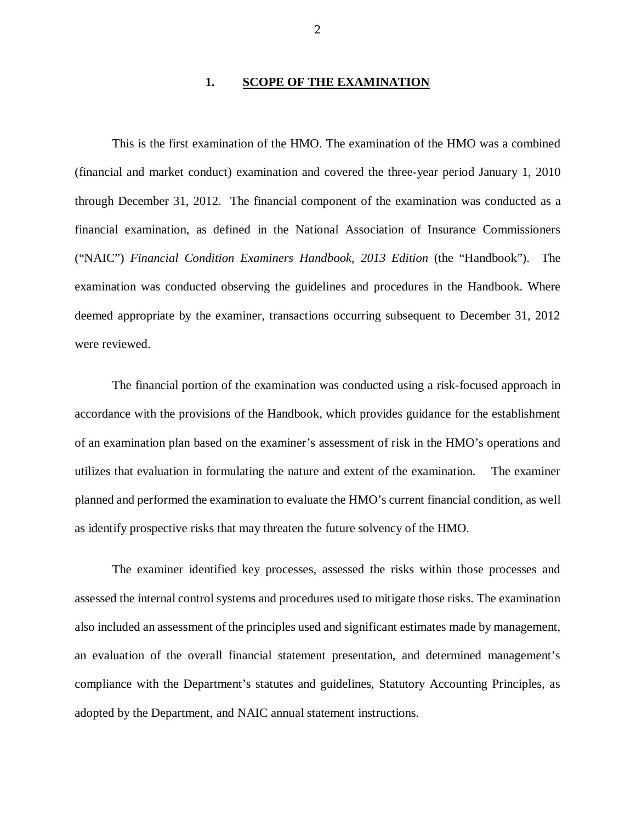### **1. 1. SCOPE OF THE EXAMINATION**

 This is the first examination of the HMO. The examination of the HMO was a combined (financial and market conduct) examination and covered the three-year period January 1, 2010 through December 31, 2012. The financial component of the examination was conducted as a financial examination, as defined in the National Association of Insurance Commissioners ("NAIC") *Financial Condition Examiners Handbook, 2013 Edition* (the "Handbook"). The examination was conducted observing the guidelines and procedures in the Handbook. Where deemed appropriate by the examiner, transactions occurring subsequent to December 31, 2012 were reviewed.

 accordance with the provisions of the Handbook, which provides guidance for the establishment of an examination plan based on the examiner's assessment of risk in the HMO's operations and utilizes that evaluation in formulating the nature and extent of the examination. The examiner planned and performed the examination to evaluate the HMO's current financial condition, as well as identify prospective risks that may threaten the future solvency of the HMO. The financial portion of the examination was conducted using a risk-focused approach in

 assessed the internal control systems and procedures used to mitigate those risks. The examination also included an assessment of the principles used and significant estimates made by management, an evaluation of the overall financial statement presentation, and determined management's compliance with the Department's statutes and guidelines, Statutory Accounting Principles, as adopted by the Department, and NAIC annual statement instructions. The examiner identified key processes, assessed the risks within those processes and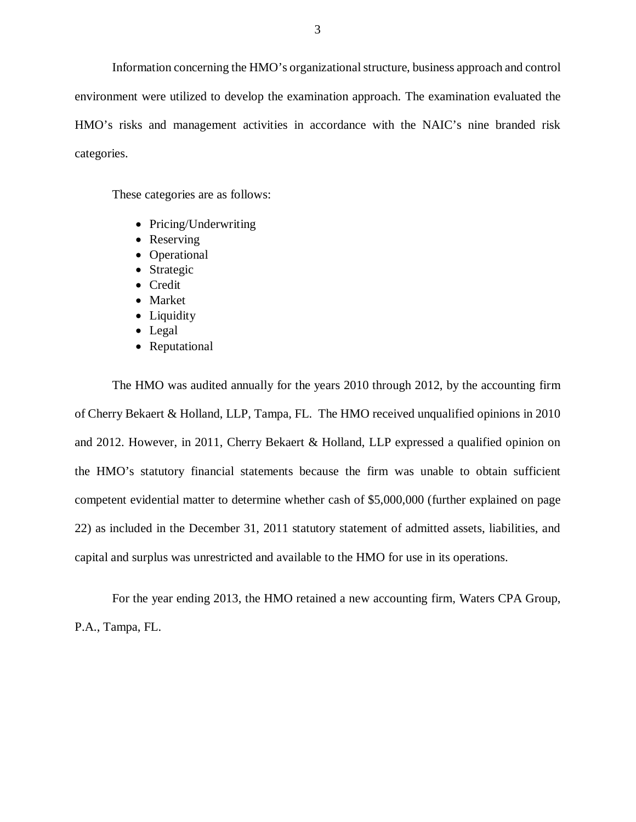Information concerning the HMO's organizational structure, business approach and control environment were utilized to develop the examination approach. The examination evaluated the HMO's risks and management activities in accordance with the NAIC's nine branded risk categories.

These categories are as follows:

- Pricing/Underwriting
- Reserving
- Operational
- Strategic
- Credit
- Market
- Liquidity
- Legal
- Reputational

 The HMO was audited annually for the years 2010 through 2012, by the accounting firm of Cherry Bekaert & Holland, LLP, Tampa, FL. The HMO received unqualified opinions in 2010 and 2012. However, in 2011, Cherry Bekaert & Holland, LLP expressed a qualified opinion on the HMO's statutory financial statements because the firm was unable to obtain sufficient competent evidential matter to determine whether cash of \$5,000,000 (further explained on page 22) as included in the December 31, 2011 statutory statement of admitted assets, liabilities, and capital and surplus was unrestricted and available to the HMO for use in its operations.

 For the year ending 2013, the HMO retained a new accounting firm, Waters CPA Group, P.A., Tampa, FL.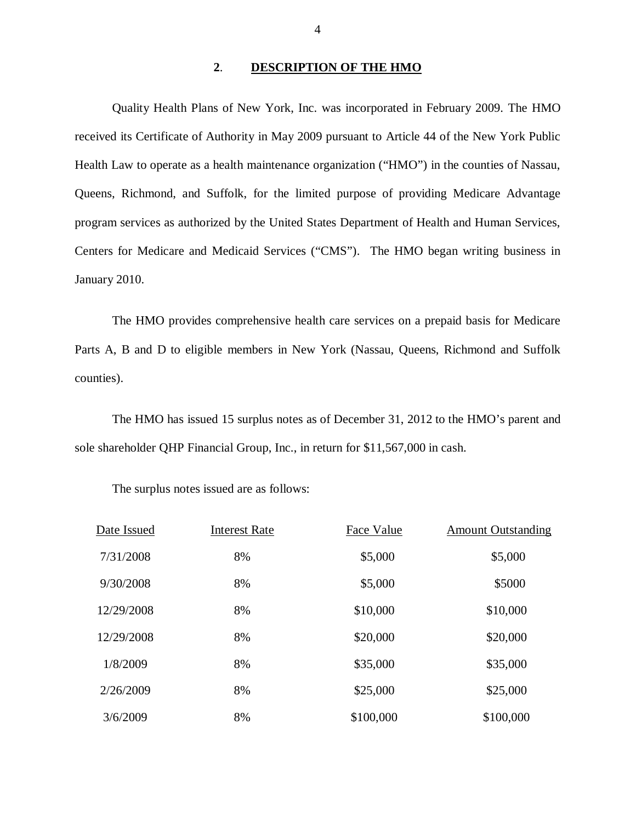### **2**. **DESCRIPTION OF THE HMO**

 Quality Health Plans of New York, Inc. was incorporated in February 2009. The HMO received its Certificate of Authority in May 2009 pursuant to Article 44 of the New York Public Health Law to operate as a health maintenance organization ("HMO") in the counties of Nassau, Queens, Richmond, and Suffolk, for the limited purpose of providing Medicare Advantage program services as authorized by the United States Department of Health and Human Services, Centers for Medicare and Medicaid Services ("CMS"). The HMO began writing business in January 2010.

 The HMO provides comprehensive health care services on a prepaid basis for Medicare Parts A, B and D to eligible members in New York (Nassau, Queens, Richmond and Suffolk counties). counties). The HMO has issued 15 surplus notes as of December 31, 2012 to the HMO's parent and

sole shareholder QHP Financial Group, Inc., in return for \$11,567,000 in cash.

The surplus notes issued are as follows:

| Date Issued | <b>Interest Rate</b> | Face Value | <b>Amount Outstanding</b> |
|-------------|----------------------|------------|---------------------------|
| 7/31/2008   | 8%                   | \$5,000    | \$5,000                   |
| 9/30/2008   | 8%                   | \$5,000    | \$5000                    |
| 12/29/2008  | 8%                   | \$10,000   | \$10,000                  |
| 12/29/2008  | 8%                   | \$20,000   | \$20,000                  |
| 1/8/2009    | 8%                   | \$35,000   | \$35,000                  |
| 2/26/2009   | 8%                   | \$25,000   | \$25,000                  |
| 3/6/2009    | 8%                   | \$100,000  | \$100,000                 |

4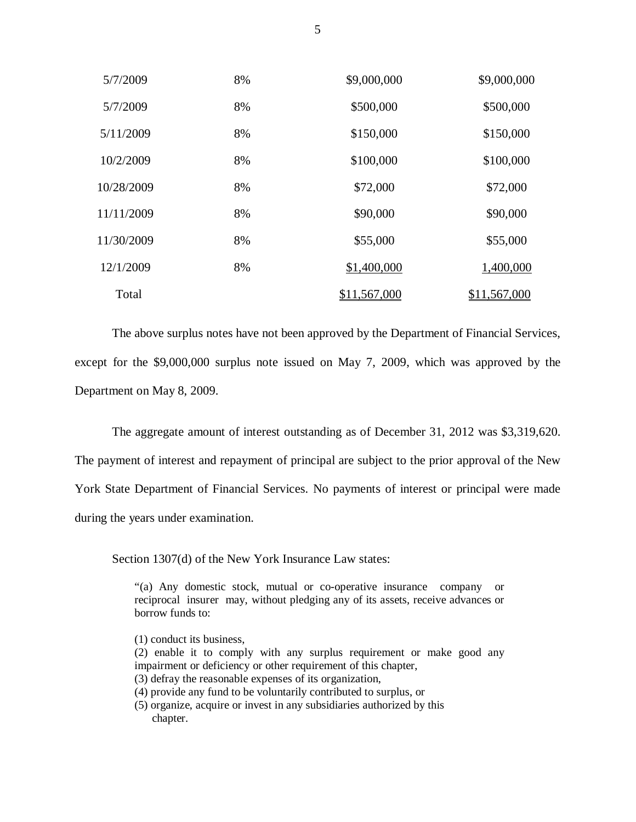| 5/7/2009   | 8% | \$9,000,000  | \$9,000,000  |
|------------|----|--------------|--------------|
| 5/7/2009   | 8% | \$500,000    | \$500,000    |
| 5/11/2009  | 8% | \$150,000    | \$150,000    |
| 10/2/2009  | 8% | \$100,000    | \$100,000    |
| 10/28/2009 | 8% | \$72,000     | \$72,000     |
| 11/11/2009 | 8% | \$90,000     | \$90,000     |
| 11/30/2009 | 8% | \$55,000     | \$55,000     |
| 12/1/2009  | 8% | \$1,400,000  | 1,400,000    |
| Total      |    | \$11,567,000 | \$11,567,000 |

 The above surplus notes have not been approved by the Department of Financial Services, except for the \$9,000,000 surplus note issued on May 7, 2009, which was approved by the Department on May 8, 2009.

The aggregate amount of interest outstanding as of December 31, 2012 was \$3,319,620.

 The payment of interest and repayment of principal are subject to the prior approval of the New York State Department of Financial Services. No payments of interest or principal were made during the years under examination.

Section 1307(d) of the New York Insurance Law states:

 "(a) Any domestic stock, mutual or co-operative insurance company or reciprocal insurer may, without pledging any of its assets, receive advances or borrow funds to:

- (1) conduct its business,
- (2) enable it to comply with any surplus requirement or make good any impairment or deficiency or other requirement of this chapter,
- (3) defray the reasonable expenses of its organization,
- (4) provide any fund to be voluntarily contributed to surplus, or
- (5) organize, acquire or invest in any subsidiaries authorized by this chapter.

5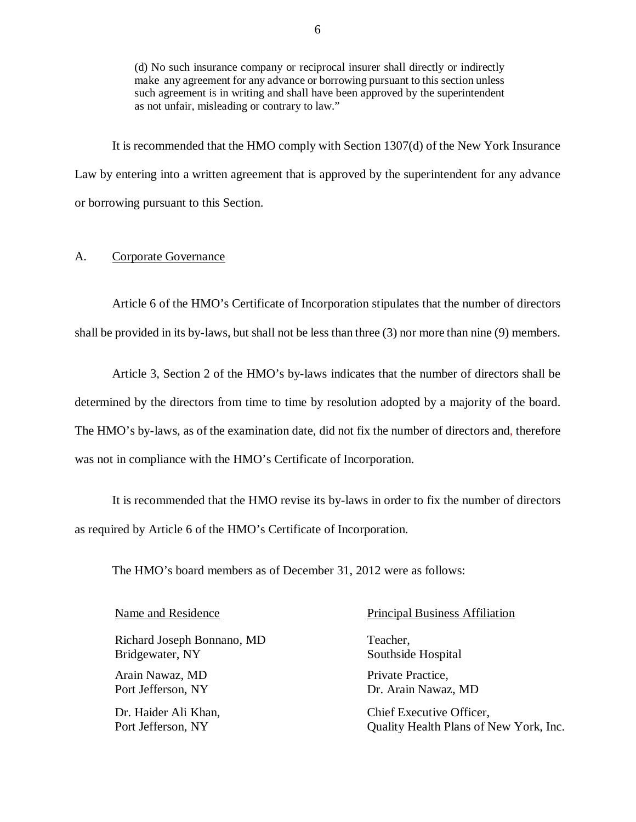<span id="page-7-0"></span> (d) No such insurance company or reciprocal insurer shall directly or indirectly make any agreement for any advance or borrowing pursuant to this section unless such agreement is in writing and shall have been approved by the superintendent as not unfair, misleading or contrary to law."

 Law by entering into a written agreement that is approved by the superintendent for any advance or borrowing pursuant to this Section. It is recommended that the HMO comply with Section 1307(d) of the New York Insurance

### A. Corporate Governance

 Article 6 of the HMO's Certificate of Incorporation stipulates that the number of directors shall be provided in its by-laws, but shall not be less than three (3) nor more than nine (9) members.

 Article 3, Section 2 of the HMO's by-laws indicates that the number of directors shall be determined by the directors from time to time by resolution adopted by a majority of the board. The HMO's by-laws, as of the examination date, did not fix the number of directors and, therefore was not in compliance with the HMO's Certificate of Incorporation.

 It is recommended that the HMO revise its by-laws in order to fix the number of directors as required by Article 6 of the HMO's Certificate of Incorporation.

The HMO's board members as of December 31, 2012 were as follows:

Richard Joseph Bonnano, MD Teacher, Bridgewater, NY Bridgewater, NY Southside Hospital Arain Nawaz, MD Private Practice, Port Jefferson, NY Port Jefferson, NY Dr. Arain Nawaz, MD

Dr. Haider Ali Khan, Port Jefferson, NY

### Name and Residence **Principal Business Affiliation**

Port Jefferson, NY Quality Health Plans of New York, Inc. Chief Executive Officer.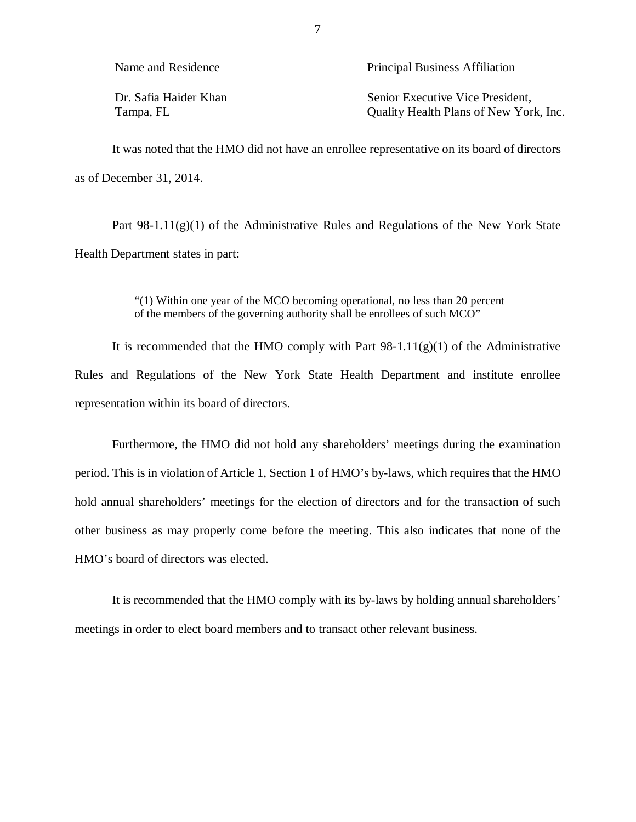| Name and Residence |  |
|--------------------|--|
|--------------------|--|

Dr. Safia Haider Khan Tampa, FL

Principal Business Affiliation

Tampa, FL Campa, FL Quality Health Plans of New York, Inc. Senior Executive Vice President,

 as of December 31, 2014. It was noted that the HMO did not have an enrollee representative on its board of directors

 Health Department states in part: Part 98-1.11(g)(1) of the Administrative Rules and Regulations of the New York State

> "(1) Within one year of the MCO becoming operational, no less than 20 percent of the members of the governing authority shall be enrollees of such MCO"

 It is recommended that the HMO comply with Part 98-1.11(g)(1) of the Administrative Rules and Regulations of the New York State Health Department and institute enrollee representation within its board of directors.

 Furthermore, the HMO did not hold any shareholders' meetings during the examination period. This is in violation of Article 1, Section 1 of HMO's by-laws, which requires that the HMO hold annual shareholders' meetings for the election of directors and for the transaction of such other business as may properly come before the meeting. This also indicates that none of the HMO's board of directors was elected.

 It is recommended that the HMO comply with its by-laws by holding annual shareholders' meetings in order to elect board members and to transact other relevant business.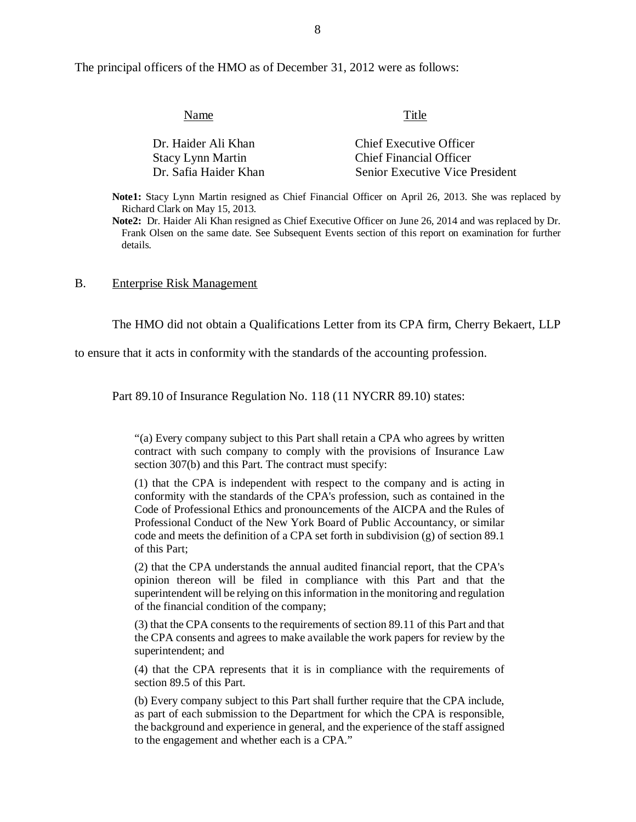The principal officers of the HMO as of December 31, 2012 were as follows:

| Title                                  |
|----------------------------------------|
| Chief Executive Officer                |
| <b>Chief Financial Officer</b>         |
| <b>Senior Executive Vice President</b> |
|                                        |

 **Note1:** Stacy Lynn Martin resigned as Chief Financial Officer on April 26, 2013. She was replaced by Richard Clark on May 15, 2013.

 **Note2:** Dr. Haider Ali Khan resigned as Chief Executive Officer on June 26, 2014 and was replaced by Dr. Frank Olsen on the same date. See Subsequent Events section of this report on examination for further details.

### $B<sub>1</sub>$ **Enterprise Risk Management**

The HMO did not obtain a Qualifications Letter from its CPA firm, Cherry Bekaert, LLP

to ensure that it acts in conformity with the standards of the accounting profession.

Part 89.10 of Insurance Regulation No. 118 (11 NYCRR 89.10) states:

 "(a) Every company subject to this Part shall retain a CPA who agrees by written contract with such company to comply with the provisions of Insurance Law section 307(b) and this Part. The contract must specify:

 (1) that the CPA is independent with respect to the company and is acting in conformity with the standards of the CPA's profession, such as contained in the Code of Professional Ethics and pronouncements of the AICPA and the Rules of Professional Conduct of the New York Board of Public Accountancy, or similar code and meets the definition of a CPA set forth in subdivision (g) of section 89.1 of this Part;

 (2) that the CPA understands the annual audited financial report, that the CPA's opinion thereon will be filed in compliance with this Part and that the superintendent will be relying on this information in the monitoring and regulation of the financial condition of the company;

 (3) that the CPA consents to the requirements of section 89.11 of this Part and that the CPA consents and agrees to make available the work papers for review by the superintendent; and

 (4) that the CPA represents that it is in compliance with the requirements of section 89.5 of this Part.

 (b) Every company subject to this Part shall further require that the CPA include, as part of each submission to the Department for which the CPA is responsible, the background and experience in general, and the experience of the staff assigned to the engagement and whether each is a CPA."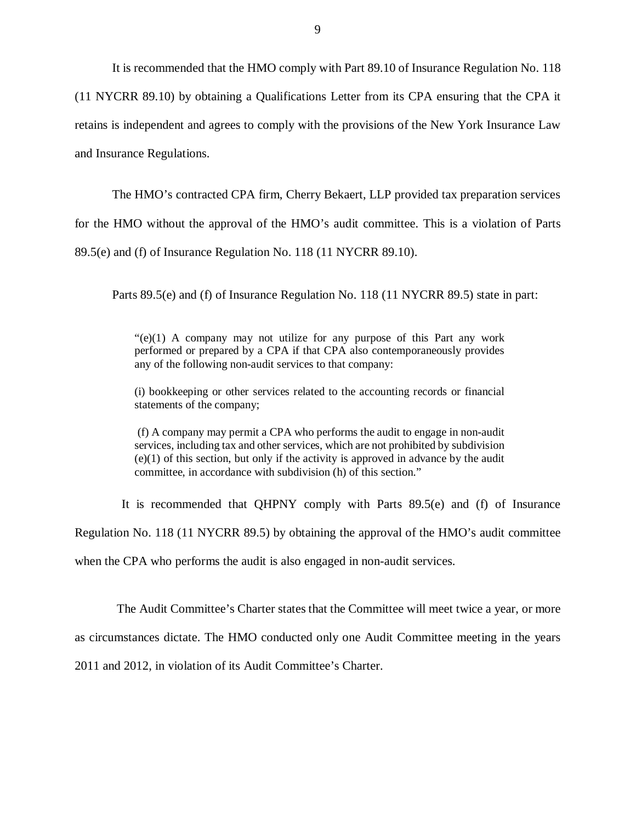It is recommended that the HMO comply with Part 89.10 of Insurance Regulation No. 118

 (11 NYCRR 89.10) by obtaining a Qualifications Letter from its CPA ensuring that the CPA it retains is independent and agrees to comply with the provisions of the New York Insurance Law and Insurance Regulations.

The HMO's contracted CPA firm, Cherry Bekaert, LLP provided tax preparation services

for the HMO without the approval of the HMO's audit committee. This is a violation of Parts

89.5(e) and (f) of Insurance Regulation No. 118 (11 NYCRR 89.10).

Parts 89.5(e) and (f) of Insurance Regulation No. 118 (11 NYCRR 89.5) state in part:

 "(e)(1) A company may not utilize for any purpose of this Part any work performed or prepared by a CPA if that CPA also contemporaneously provides any of the following non-audit services to that company:

 (i) bookkeeping or other services related to the accounting records or financial statements of the company;

 (f) A company may permit a CPA who performs the audit to engage in non-audit services, including tax and other services, which are not prohibited by subdivision (e)(1) of this section, but only if the activity is approved in advance by the audit committee, in accordance with subdivision (h) of this section."

 Regulation No. 118 (11 NYCRR 89.5) by obtaining the approval of the HMO's audit committee when the CPA who performs the audit is also engaged in non-audit services. It is recommended that QHPNY comply with Parts 89.5(e) and (f) of Insurance

 as circumstances dictate. The HMO conducted only one Audit Committee meeting in the years 2011 and 2012, in violation of its Audit Committee's Charter. The Audit Committee's Charter states that the Committee will meet twice a year, or more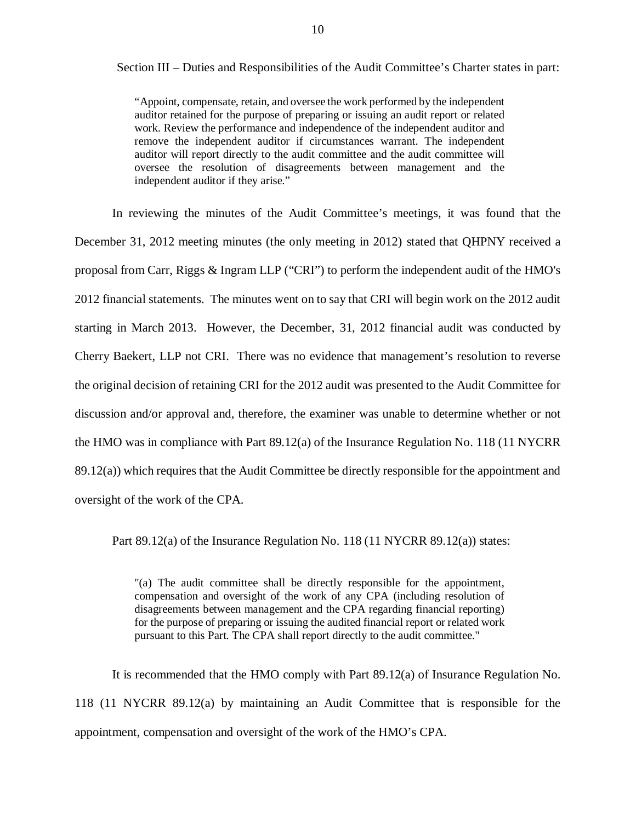Section III – Duties and Responsibilities of the Audit Committee's Charter states in part:

 "Appoint, compensate, retain, and oversee the work performed by the independent auditor retained for the purpose of preparing or issuing an audit report or related work. Review the performance and independence of the independent auditor and remove the independent auditor if circumstances warrant. The independent auditor will report directly to the audit committee and the audit committee will oversee the resolution of disagreements between management and the independent auditor if they arise."

 December 31, 2012 meeting minutes (the only meeting in 2012) stated that QHPNY received a proposal from Carr, Riggs & Ingram LLP ("CRI") to perform the independent audit of the HMO's 2012 financial statements. The minutes went on to say that CRI will begin work on the 2012 audit starting in March 2013. However, the December, 31, 2012 financial audit was conducted by Cherry Baekert, LLP not CRI. There was no evidence that management's resolution to reverse the original decision of retaining CRI for the 2012 audit was presented to the Audit Committee for discussion and/or approval and, therefore, the examiner was unable to determine whether or not the HMO was in compliance with Part 89.12(a) of the Insurance Regulation No. 118 (11 NYCRR 89.12(a)) which requires that the Audit Committee be directly responsible for the appointment and oversight of the work of the CPA. In reviewing the minutes of the Audit Committee's meetings, it was found that the

Part 89.12(a) of the Insurance Regulation No. 118 (11 NYCRR 89.12(a)) states:

 "(a) The audit committee shall be directly responsible for the appointment, compensation and oversight of the work of any CPA (including resolution of disagreements between management and the CPA regarding financial reporting) for the purpose of preparing or issuing the audited financial report or related work pursuant to this Part. The CPA shall report directly to the audit committee."

 118 (11 NYCRR 89.12(a) by maintaining an Audit Committee that is responsible for the appointment, compensation and oversight of the work of the HMO's CPA. It is recommended that the HMO comply with Part 89.12(a) of Insurance Regulation No.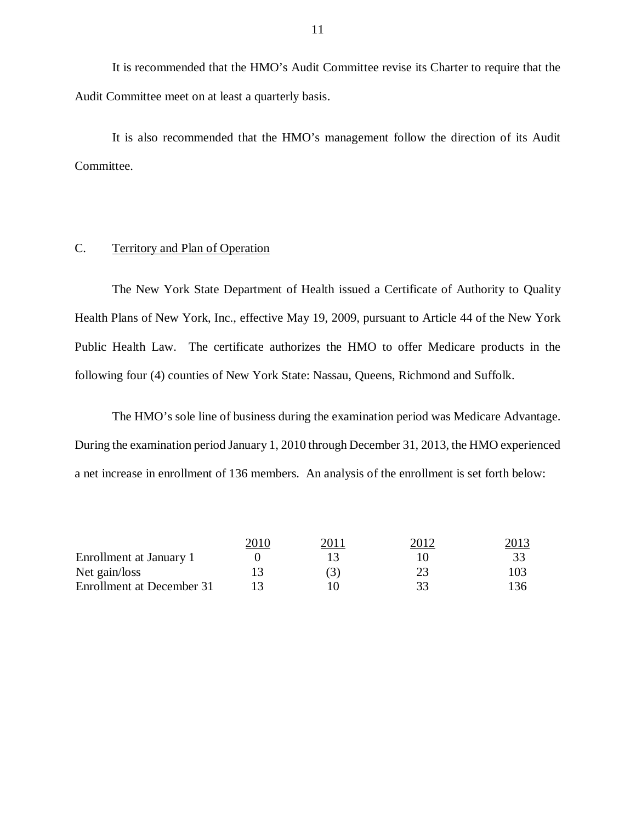It is recommended that the HMO's Audit Committee revise its Charter to require that the Audit Committee meet on at least a quarterly basis.

Committee. Committee.<br>C. Territory and Plan of Operation It is also recommended that the HMO's management follow the direction of its Audit

 Health Plans of New York, Inc., effective May 19, 2009, pursuant to Article 44 of the New York Public Health Law. The certificate authorizes the HMO to offer Medicare products in the following four (4) counties of New York State: Nassau, Queens, Richmond and Suffolk. The New York State Department of Health issued a Certificate of Authority to Quality

 During the examination period January 1, 2010 through December 31, 2013, the HMO experienced a net increase in enrollment of 136 members. An analysis of the enrollment is set forth below: The HMO's sole line of business during the examination period was Medicare Advantage.

|                           | 2010 | 2011 | 2012 | <u> 2013 </u> |
|---------------------------|------|------|------|---------------|
| Enrollment at January 1   |      |      |      |               |
| Net gain/loss             |      | (3)  |      | 103           |
| Enrollment at December 31 |      |      | 33   | 136           |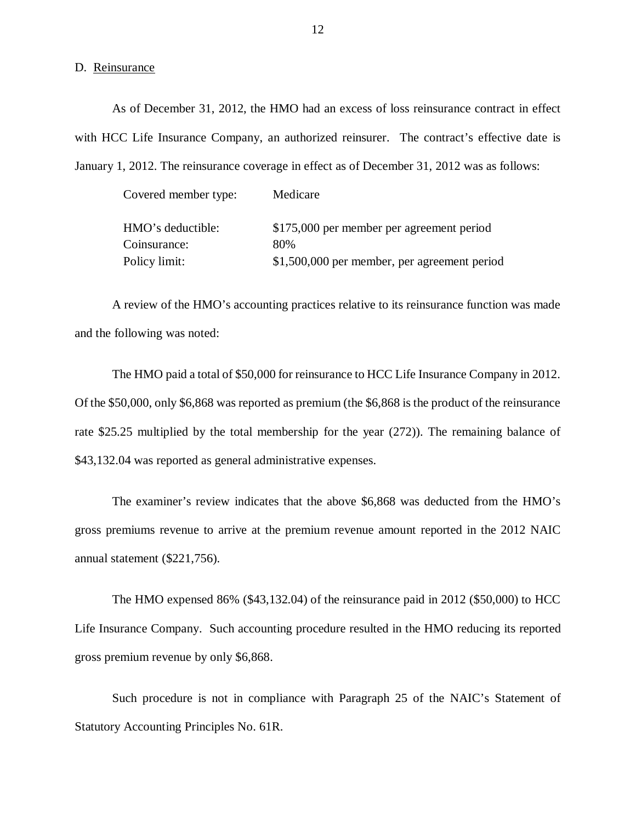### D. Reinsurance

 with HCC Life Insurance Company, an authorized reinsurer. The contract's effective date is January 1, 2012. The reinsurance coverage in effect as of December 31, 2012 was as follows: As of December 31, 2012, the HMO had an excess of loss reinsurance contract in effect

Covered member type: Medicare

| HMO's deductible: | \$175,000 per member per agreement period    |
|-------------------|----------------------------------------------|
| Coinsurance:      | 80%                                          |
| Policy limit:     | \$1,500,000 per member, per agreement period |

 A review of the HMO's accounting practices relative to its reinsurance function was made and the following was noted:

 Of the \$50,000, only \$6,868 was reported as premium (the \$6,868 is the product of the reinsurance rate \$25.25 multiplied by the total membership for the year (272)). The remaining balance of \$[43,132.04](https://43,132.04) was reported as general administrative expenses. The HMO paid a total of \$50,000 for reinsurance to HCC Life Insurance Company in 2012.

 The examiner's review indicates that the above \$6,868 was deducted from the HMO's gross premiums revenue to arrive at the premium revenue amount reported in the 2012 NAIC annual statement (\$221,756).

 The HMO expensed 86% ([\\$43,132.04](https://43,132.04)) of the reinsurance paid in 2012 (\$50,000) to HCC Life Insurance Company. Such accounting procedure resulted in the HMO reducing its reported gross premium revenue by only \$6,868.

 Such procedure is not in compliance with Paragraph 25 of the NAIC's Statement of Statutory Accounting Principles No. 61R.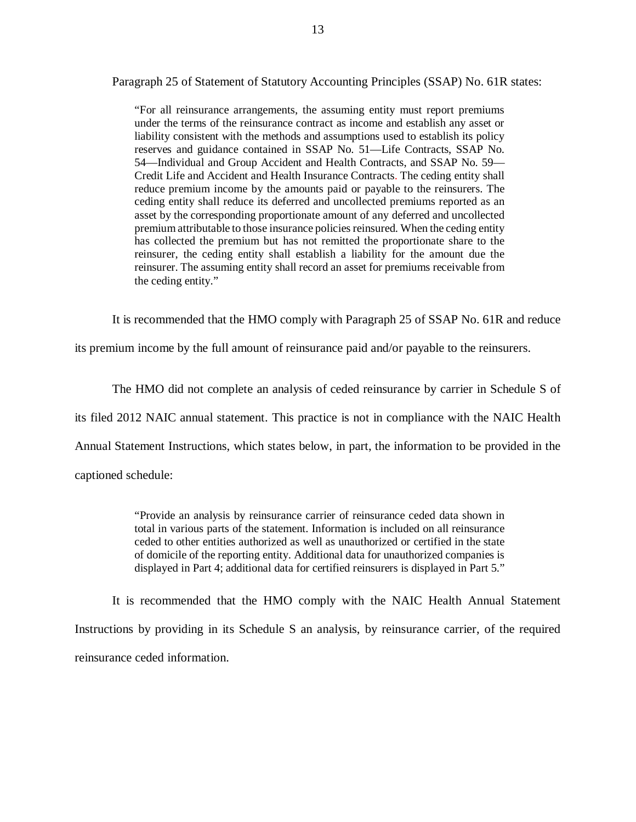Paragraph 25 of Statement of Statutory Accounting Principles (SSAP) No. 61R states:

 "For all reinsurance arrangements, the assuming entity must report premiums under the terms of the reinsurance contract as income and establish any asset or liability consistent with the methods and assumptions used to establish its policy reserves and guidance contained in SSAP No. 51—Life Contracts, SSAP No. 54—Individual and Group Accident and Health Contracts, and SSAP No. 59— Credit Life and Accident and Health Insurance Contracts. The ceding entity shall reduce premium income by the amounts paid or payable to the reinsurers. The ceding entity shall reduce its deferred and uncollected premiums reported as an asset by the corresponding proportionate amount of any deferred and uncollected premium attributable to those insurance policies reinsured. When the ceding entity has collected the premium but has not remitted the proportionate share to the reinsurer, the ceding entity shall establish a liability for the amount due the reinsurer. The assuming entity shall record an asset for premiums receivable from the ceding entity."

It is recommended that the HMO comply with Paragraph 25 of SSAP No. 61R and reduce

its premium income by the full amount of reinsurance paid and/or payable to the reinsurers.

The HMO did not complete an analysis of ceded reinsurance by carrier in Schedule S of

its filed 2012 NAIC annual statement. This practice is not in compliance with the NAIC Health

Annual Statement Instructions, which states below, in part, the information to be provided in the

captioned schedule:

 "Provide an analysis by reinsurance carrier of reinsurance ceded data shown in total in various parts of the statement. Information is included on all reinsurance ceded to other entities authorized as well as unauthorized or certified in the state of domicile of the reporting entity. Additional data for unauthorized companies is displayed in Part 4; additional data for certified reinsurers is displayed in Part 5."

 It is recommended that the HMO comply with the NAIC Health Annual Statement Instructions by providing in its Schedule S an analysis, by reinsurance carrier, of the required reinsurance ceded information.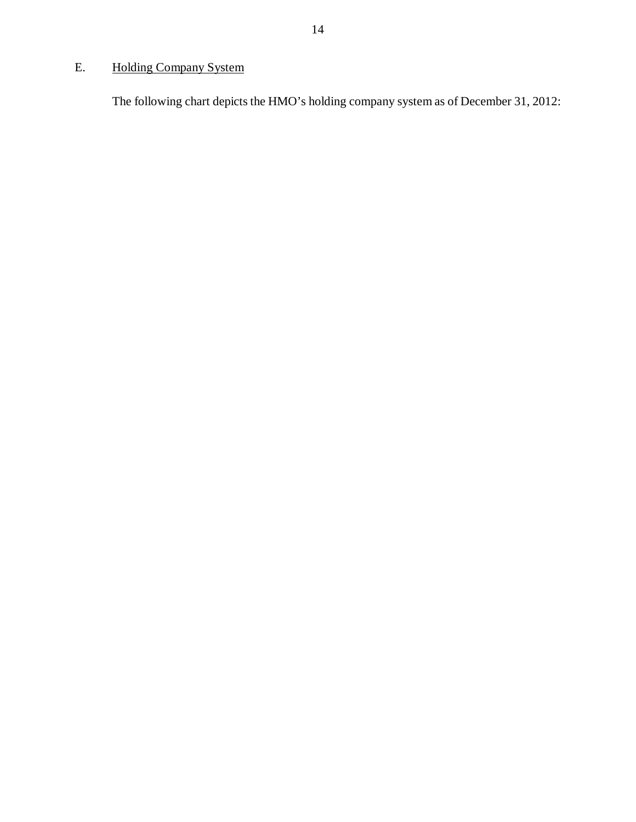## <span id="page-15-0"></span>E. Holding Company System

The following chart depicts the HMO's holding company system as of December 31, 2012: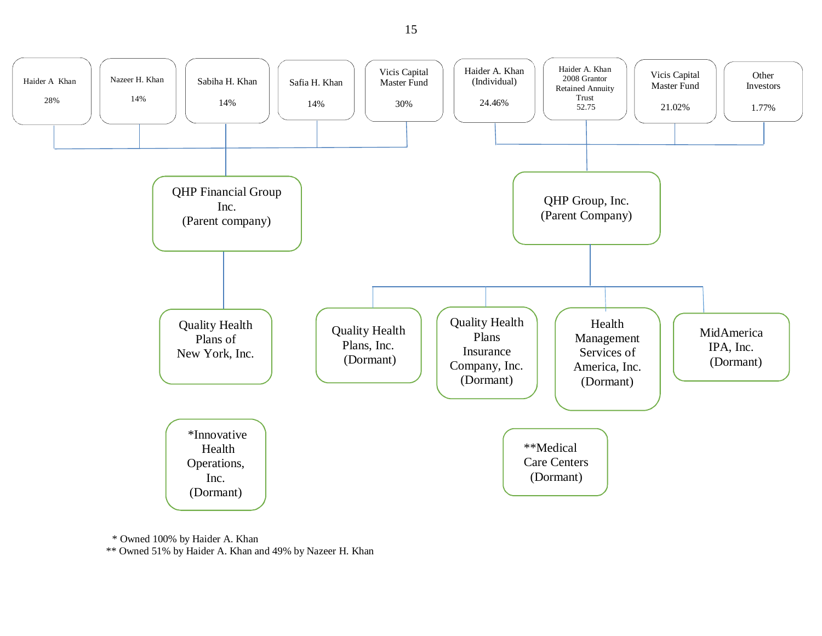

\* Owned 100% by Haider A. Khan

\*\* Owned 51% by Haider A. Khan and 49% by Nazeer H. Khan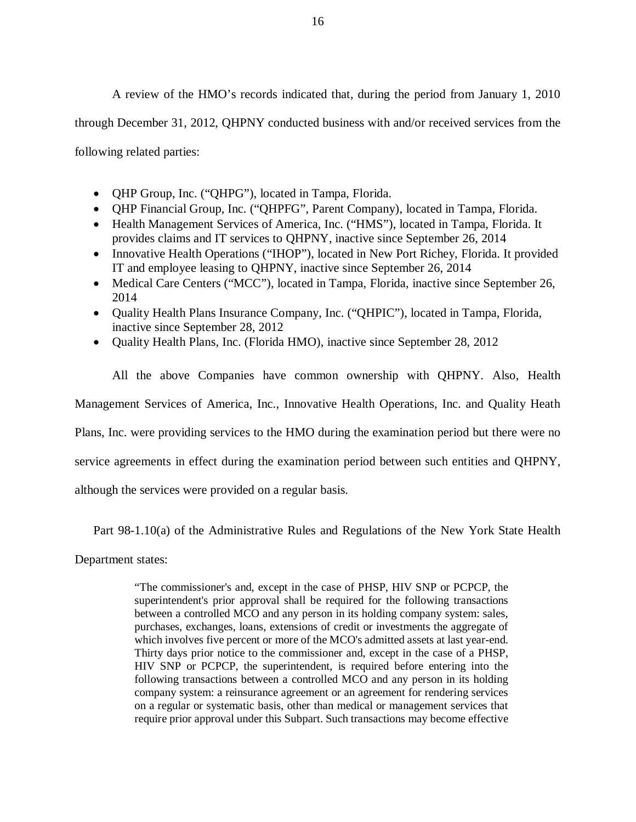through December 31, 2012, QHPNY conducted business with and/or received services from the following related parties: A review of the HMO's records indicated that, during the period from January 1, 2010

- QHP Group, Inc. ("QHPG"), located in Tampa, Florida.
- QHP Financial Group, Inc. ("QHPFG", Parent Company), located in Tampa, Florida.
- Health Management Services of America, Inc. ("HMS"), located in Tampa, Florida. It provides claims and IT services to QHPNY, inactive since September 26, 2014
- Innovative Health Operations ("IHOP"), located in New Port Richey, Florida. It provided IT and employee leasing to QHPNY, inactive since September 26, 2014
- Medical Care Centers ("MCC"), located in Tampa, Florida, inactive since September 26, 2014
- Quality Health Plans Insurance Company, Inc. ("QHPIC"), located in Tampa, Florida, inactive since September 28, 2012
- Quality Health Plans, Inc. (Florida HMO), inactive since September 28, 2012

 All the above Companies have common ownership with QHPNY. Also, Health Management Services of America, Inc., Innovative Health Operations, Inc. and Quality Heath Plans, Inc. were providing services to the HMO during the examination period but there were no service agreements in effect during the examination period between such entities and QHPNY,

although the services were provided on a regular basis.

Part 98-1.10(a) of the Administrative Rules and Regulations of the New York State Health

Department states:

 "The commissioner's and, except in the case of PHSP, HIV SNP or PCPCP, the superintendent's prior approval shall be required for the following transactions between a controlled MCO and any person in its holding company system: sales, purchases, exchanges, loans, extensions of credit or investments the aggregate of which involves five percent or more of the MCO's admitted assets at last year-end. Thirty days prior notice to the commissioner and, except in the case of a PHSP, HIV SNP or PCPCP, the superintendent, is required before entering into the following transactions between a controlled MCO and any person in its holding company system: a reinsurance agreement or an agreement for rendering services on a regular or systematic basis, other than medical or management services that require prior approval under this Subpart. Such transactions may become effective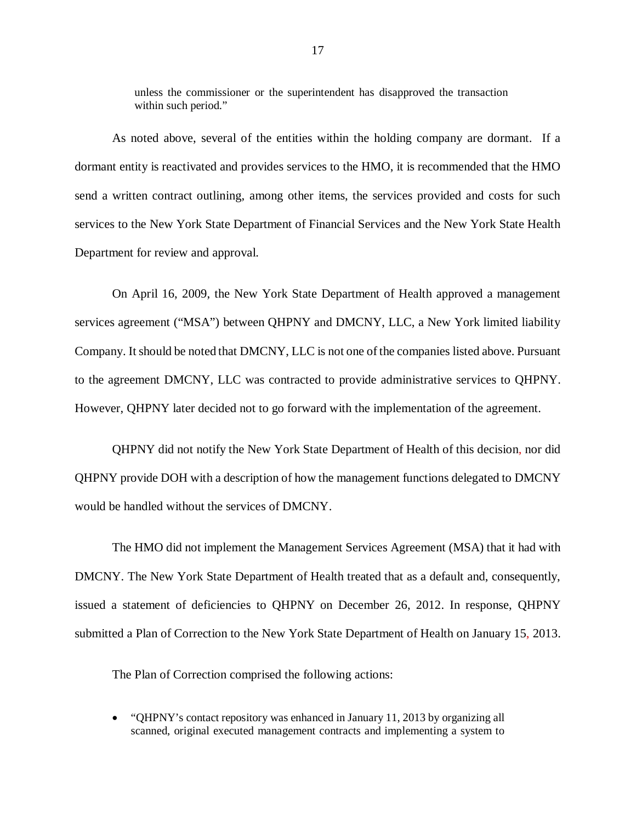unless the commissioner or the superintendent has disapproved the transaction within such period."

 dormant entity is reactivated and provides services to the HMO, it is recommended that the HMO send a written contract outlining, among other items, the services provided and costs for such services to the New York State Department of Financial Services and the New York State Health Department for review and approval. As noted above, several of the entities within the holding company are dormant. If a

 On April 16, 2009, the New York State Department of Health approved a management services agreement ("MSA") between QHPNY and DMCNY, LLC, a New York limited liability Company. It should be noted that DMCNY, LLC is not one of the companies listed above. Pursuant to the agreement DMCNY, LLC was contracted to provide administrative services to QHPNY. However, QHPNY later decided not to go forward with the implementation of the agreement.

 QHPNY did not notify the New York State Department of Health of this decision, nor did QHPNY provide DOH with a description of how the management functions delegated to DMCNY would be handled without the services of DMCNY.

 The HMO did not implement the Management Services Agreement (MSA) that it had with DMCNY. The New York State Department of Health treated that as a default and, consequently, issued a statement of deficiencies to QHPNY on December 26, 2012. In response, QHPNY submitted a Plan of Correction to the New York State Department of Health on January 15, 2013.

The Plan of Correction comprised the following actions:

 "QHPNY's contact repository was enhanced in January 11, 2013 by organizing all scanned, original executed management contracts and implementing a system to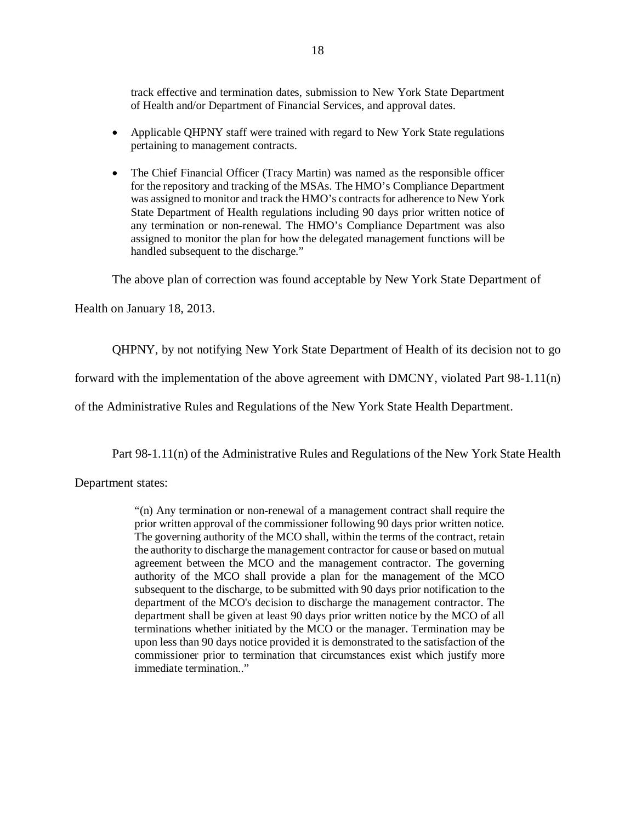track effective and termination dates, submission to New York State Department of Health and/or Department of Financial Services, and approval dates.

- Applicable QHPNY staff were trained with regard to New York State regulations pertaining to management contracts.
- The Chief Financial Officer (Tracy Martin) was named as the responsible officer for the repository and tracking of the MSAs. The HMO's Compliance Department was assigned to monitor and track the HMO's contracts for adherence to New York State Department of Health regulations including 90 days prior written notice of any termination or non-renewal. The HMO's Compliance Department was also assigned to monitor the plan for how the delegated management functions will be handled subsequent to the discharge."

The above plan of correction was found acceptable by New York State Department of

Health on January 18, 2013.

QHPNY, by not notifying New York State Department of Health of its decision not to go

forward with the implementation of the above agreement with DMCNY, violated Part 98-1.11(n)

of the Administrative Rules and Regulations of the New York State Health Department.

Part 98-1.11(n) of the Administrative Rules and Regulations of the New York State Health

Department states:

 "(n) Any termination or non-renewal of a management contract shall require the prior written approval of the commissioner following 90 days prior written notice. The governing authority of the MCO shall, within the terms of the contract, retain the authority to discharge the management contractor for cause or based on mutual agreement between the MCO and the management contractor. The governing authority of the MCO shall provide a plan for the management of the MCO subsequent to the discharge, to be submitted with 90 days prior notification to the department of the MCO's decision to discharge the management contractor. The department shall be given at least 90 days prior written notice by the MCO of all terminations whether initiated by the MCO or the manager. Termination may be upon less than 90 days notice provided it is demonstrated to the satisfaction of the commissioner prior to termination that circumstances exist which justify more immediate termination.."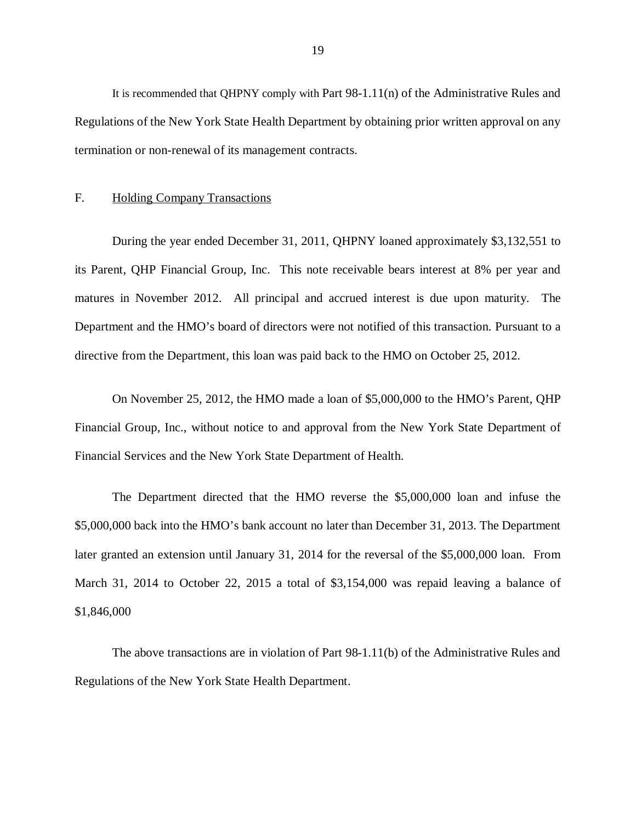<span id="page-20-0"></span> Regulations of the New York State Health Department by obtaining prior written approval on any termination or non-renewal of its management contracts. It is recommended that QHPNY comply with Part 98-1.11(n) of the Administrative Rules and

### F. Holding Company Transactions

 During the year ended December 31, 2011, QHPNY loaned approximately \$3,132,551 to its Parent, QHP Financial Group, Inc. This note receivable bears interest at 8% per year and matures in November 2012. All principal and accrued interest is due upon maturity. The Department and the HMO's board of directors were not notified of this transaction. Pursuant to a directive from the Department, this loan was paid back to the HMO on October 25, 2012.

 Financial Group, Inc., without notice to and approval from the New York State Department of Financial Services and the New York State Department of Health. On November 25, 2012, the HMO made a loan of \$5,000,000 to the HMO's Parent, QHP

 \$5,000,000 back into the HMO's bank account no later than December 31, 2013. The Department later granted an extension until January 31, 2014 for the reversal of the \$5,000,000 loan. From March 31, 2014 to October 22, 2015 a total of \$3,154,000 was repaid leaving a balance of The Department directed that the HMO reverse the \$5,000,000 loan and infuse the \$1,846,000

 Regulations of the New York State Health Department. The above transactions are in violation of Part 98-1.11(b) of the Administrative Rules and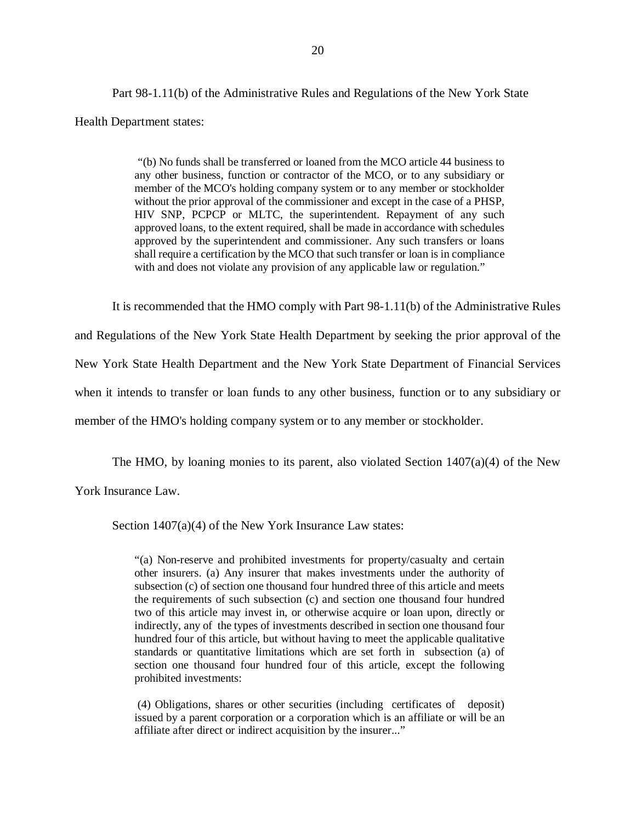Health Department states: Part 98-1.11(b) of the Administrative Rules and Regulations of the New York State

> "(b) No funds shall be transferred or loaned from the MCO article 44 business to any other business, function or contractor of the MCO, or to any subsidiary or member of the MCO's holding company system or to any member or stockholder without the prior approval of the commissioner and except in the case of a PHSP, HIV SNP, PCPCP or MLTC, the superintendent. Repayment of any such approved loans, to the extent required, shall be made in accordance with schedules approved by the superintendent and commissioner. Any such transfers or loans shall require a certification by the MCO that such transfer or loan is in compliance with and does not violate any provision of any applicable law or regulation."

 It is recommended that the HMO comply with Part 98-1.11(b) of the Administrative Rules and Regulations of the New York State Health Department by seeking the prior approval of the New York State Health Department and the New York State Department of Financial Services when it intends to transfer or loan funds to any other business, function or to any subsidiary or member of the HMO's holding company system or to any member or stockholder.

The HMO, by loaning monies to its parent, also violated Section 1407(a)(4) of the New

York Insurance Law.

Section 1407(a)(4) of the New York Insurance Law states:

 "(a) Non-reserve and prohibited investments for property/casualty and certain other insurers. (a) Any insurer that makes investments under the authority of subsection (c) of section one thousand four hundred three of this article and meets the requirements of such subsection (c) and section one thousand four hundred two of this article may invest in, or otherwise acquire or loan upon, directly or indirectly, any of the types of investments described in section one thousand four hundred four of this article, but without having to meet the applicable qualitative standards or quantitative limitations which are set forth in subsection (a) of section one thousand four hundred four of this article, except the following prohibited investments:

 (4) Obligations, shares or other securities (including certificates of deposit) issued by a parent corporation or a corporation which is an affiliate or will be an affiliate after direct or indirect acquisition by the insurer..."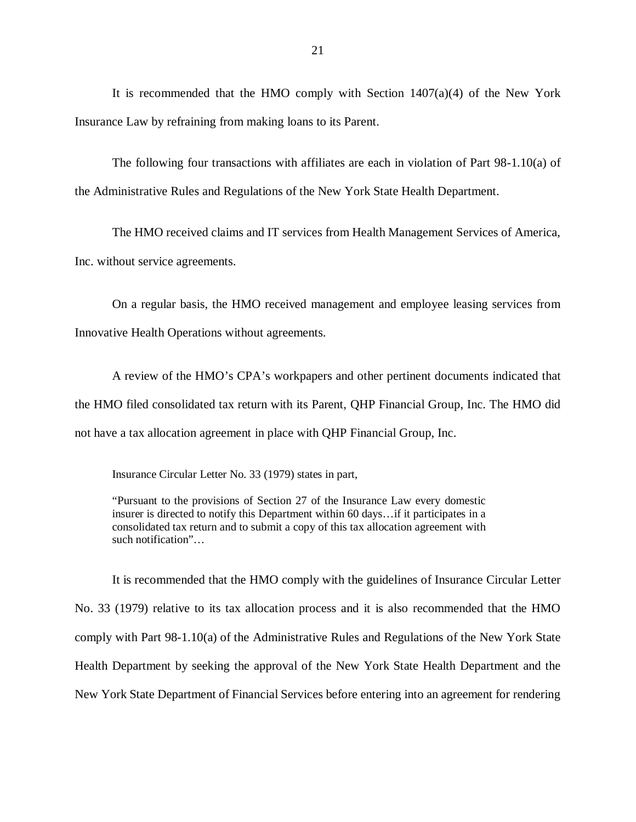Insurance Law by refraining from making loans to its Parent. It is recommended that the HMO comply with Section  $1407(a)(4)$  of the New York

 the Administrative Rules and Regulations of the New York State Health Department. The following four transactions with affiliates are each in violation of Part 98-1.10(a) of

 Inc. without service agreements. The HMO received claims and IT services from Health Management Services of America,

 Innovative Health Operations without agreements. On a regular basis, the HMO received management and employee leasing services from

 the HMO filed consolidated tax return with its Parent, QHP Financial Group, Inc. The HMO did not have a tax allocation agreement in place with QHP Financial Group, Inc. A review of the HMO's CPA's workpapers and other pertinent documents indicated that

Insurance Circular Letter No. 33 (1979) states in part,

 "Pursuant to the provisions of Section 27 of the Insurance Law every domestic insurer is directed to notify this Department within 60 days…if it participates in a consolidated tax return and to submit a copy of this tax allocation agreement with such notification"…

 No. 33 (1979) relative to its tax allocation process and it is also recommended that the HMO comply with Part 98-1.10(a) of the Administrative Rules and Regulations of the New York State Health Department by seeking the approval of the New York State Health Department and the New York State Department of Financial Services before entering into an agreement for rendering It is recommended that the HMO comply with the guidelines of Insurance Circular Letter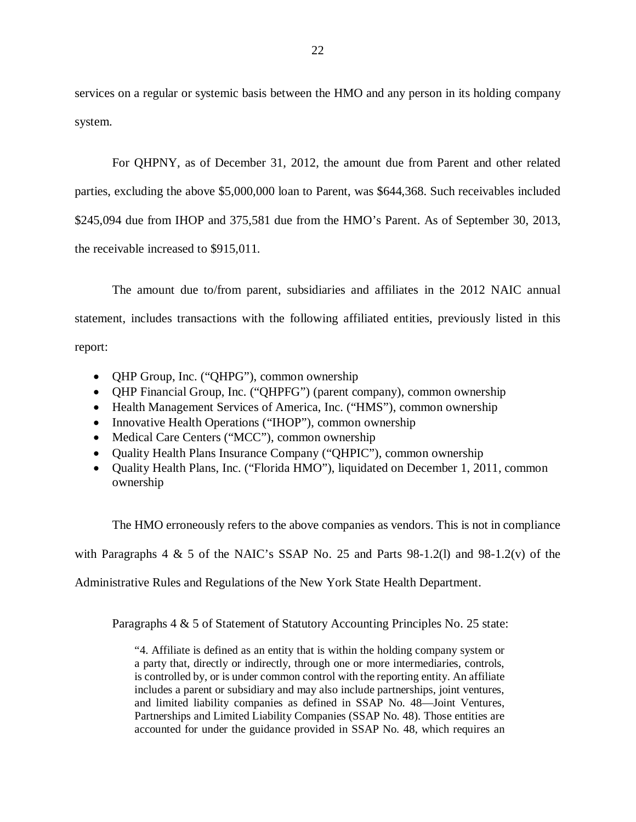services on a regular or systemic basis between the HMO and any person in its holding company system.

 parties, excluding the above \$5,000,000 loan to Parent, was \$644,368. Such receivables included \$245,094 due from IHOP and 375,581 due from the HMO's Parent. As of September 30, 2013, the receivable increased to \$915,011. For QHPNY, as of December 31, 2012, the amount due from Parent and other related

 statement, includes transactions with the following affiliated entities, previously listed in this The amount due to/from parent, subsidiaries and affiliates in the 2012 NAIC annual report:

- QHP Group, Inc. ("QHPG"), common ownership
- QHP Financial Group, Inc. ("QHPFG") (parent company), common ownership
- Health Management Services of America, Inc. ("HMS"), common ownership
- Innovative Health Operations ("IHOP"), common ownership
- Medical Care Centers ("MCC"), common ownership
- Quality Health Plans Insurance Company ("QHPIC"), common ownership
- Quality Health Plans, Inc. ("Florida HMO"), liquidated on December 1, 2011, common ownership

The HMO erroneously refers to the above companies as vendors. This is not in compliance

with Paragraphs 4  $\&$  5 of the NAIC's SSAP No. 25 and Parts 98-1.2(1) and 98-1.2(v) of the

Administrative Rules and Regulations of the New York State Health Department.

Paragraphs 4 & 5 of Statement of Statutory Accounting Principles No. 25 state:

 "4. Affiliate is defined as an entity that is within the holding company system or a party that, directly or indirectly, through one or more intermediaries, controls, is controlled by, or is under common control with the reporting entity. An affiliate includes a parent or subsidiary and may also include partnerships, joint ventures, and limited liability companies as defined in SSAP No. 48—Joint Ventures, Partnerships and Limited Liability Companies (SSAP No. 48). Those entities are accounted for under the guidance provided in SSAP No. 48, which requires an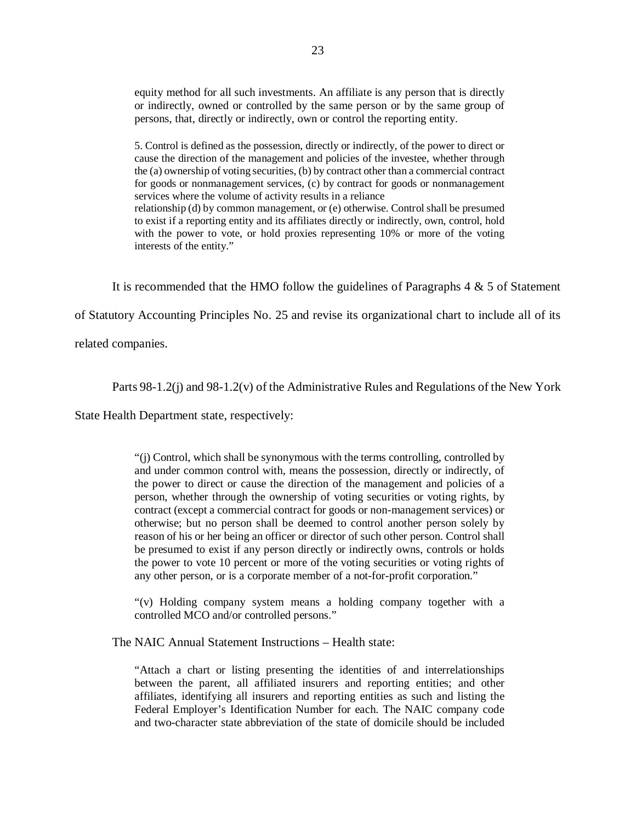equity method for all such investments. An affiliate is any person that is directly or indirectly, owned or controlled by the same person or by the same group of persons, that, directly or indirectly, own or control the reporting entity.

 5. Control is defined as the possession, directly or indirectly, of the power to direct or cause the direction of the management and policies of the investee, whether through the (a) ownership of voting securities, (b) by contract other than a commercial contract for goods or nonmanagement services, (c) by contract for goods or nonmanagement services where the volume of activity results in a reliance relationship (d) by common management, or (e) otherwise. Control shall be presumed to exist if a reporting entity and its affiliates directly or indirectly, own, control, hold with the power to vote, or hold proxies representing 10% or more of the voting interests of the entity."

It is recommended that the HMO follow the guidelines of Paragraphs  $4 \& 5$  of Statement

of Statutory Accounting Principles No. 25 and revise its organizational chart to include all of its

related companies.

Parts 98-1.2(j) and 98-1.2(v) of the Administrative Rules and Regulations of the New York

State Health Department state, respectively:

 "(j) Control, which shall be synonymous with the terms controlling, controlled by and under common control with, means the possession, directly or indirectly, of the power to direct or cause the direction of the management and policies of a person, whether through the ownership of voting securities or voting rights, by contract (except a commercial contract for goods or non-management services) or otherwise; but no person shall be deemed to control another person solely by reason of his or her being an officer or director of such other person. Control shall be presumed to exist if any person directly or indirectly owns, controls or holds the power to vote 10 percent or more of the voting securities or voting rights of any other person, or is a corporate member of a not-for-profit corporation."

 "(v) Holding company system means a holding company together with a controlled MCO and/or controlled persons."

The NAIC Annual Statement Instructions – Health state:

 "Attach a chart or listing presenting the identities of and interrelationships between the parent, all affiliated insurers and reporting entities; and other affiliates, identifying all insurers and reporting entities as such and listing the Federal Employer's Identification Number for each. The NAIC company code and two-character state abbreviation of the state of domicile should be included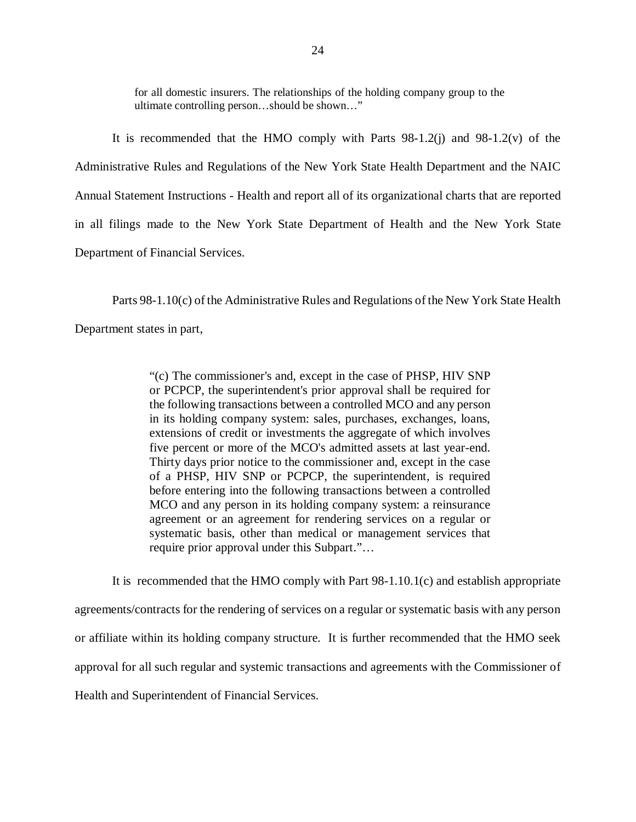for all domestic insurers. The relationships of the holding company group to the ultimate controlling person…should be shown…"

 It is recommended that the HMO comply with Parts 98-1.2(j) and 98-1.2(v) of the Administrative Rules and Regulations of the New York State Health Department and the NAIC Annual Statement Instructions - Health and report all of its organizational charts that are reported in all filings made to the New York State Department of Health and the New York State Department of Financial Services.

 Parts 98-1.10(c) of the Administrative Rules and Regulations of the New York State Health Department states in part,

> "(c) The commissioner's and, except in the case of PHSP, HIV SNP or PCPCP, the superintendent's prior approval shall be required for the following transactions between a controlled MCO and any person in its holding company system: sales, purchases, exchanges, loans, extensions of credit or investments the aggregate of which involves five percent or more of the MCO's admitted assets at last year-end. Thirty days prior notice to the commissioner and, except in the case of a PHSP, HIV SNP or PCPCP, the superintendent, is required before entering into the following transactions between a controlled MCO and any person in its holding company system: a reinsurance agreement or an agreement for rendering services on a regular or systematic basis, other than medical or management services that require prior approval under this Subpart."…

 It is recommended that the HMO comply with Part 98-1.10.1(c) and establish appropriate agreements/contracts for the rendering of services on a regular or systematic basis with any person or affiliate within its holding company structure. It is further recommended that the HMO seek approval for all such regular and systemic transactions and agreements with the Commissioner of Health and Superintendent of Financial Services.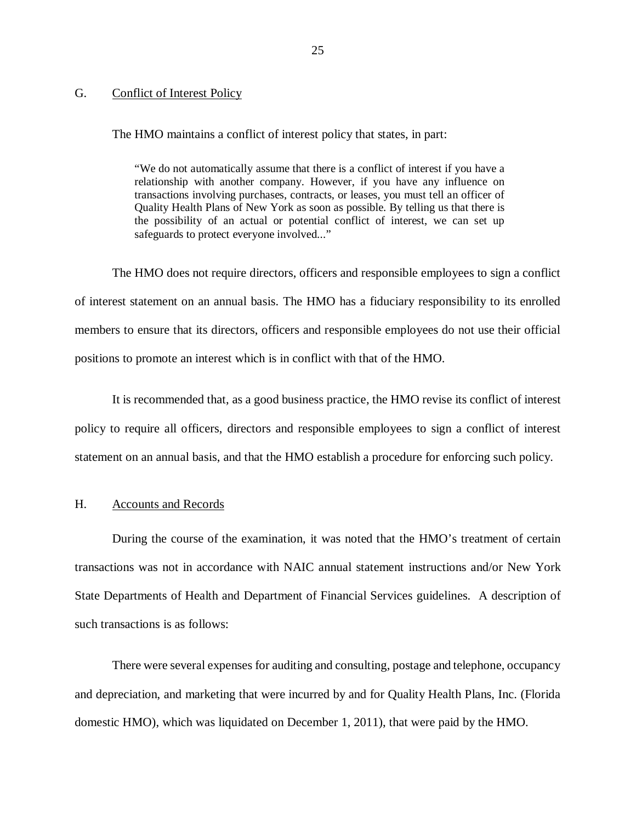### <span id="page-26-0"></span>G. Conflict of Interest Policy

The HMO maintains a conflict of interest policy that states, in part:

 "We do not automatically assume that there is a conflict of interest if you have a relationship with another company. However, if you have any influence on transactions involving purchases, contracts, or leases, you must tell an officer of Quality Health Plans of New York as soon as possible. By telling us that there is the possibility of an actual or potential conflict of interest, we can set up safeguards to protect everyone involved..."

 The HMO does not require directors, officers and responsible employees to sign a conflict of interest statement on an annual basis. The HMO has a fiduciary responsibility to its enrolled members to ensure that its directors, officers and responsible employees do not use their official positions to promote an interest which is in conflict with that of the HMO.

 It is recommended that, as a good business practice, the HMO revise its conflict of interest policy to require all officers, directors and responsible employees to sign a conflict of interest statement on an annual basis, and that the HMO establish a procedure for enforcing such policy.

### H. Accounts and Records

 During the course of the examination, it was noted that the HMO's treatment of certain transactions was not in accordance with NAIC annual statement instructions and/or New York State Departments of Health and Department of Financial Services guidelines. A description of such transactions is as follows:

 There were several expenses for auditing and consulting, postage and telephone, occupancy and depreciation, and marketing that were incurred by and for Quality Health Plans, Inc. (Florida domestic HMO), which was liquidated on December 1, 2011), that were paid by the HMO.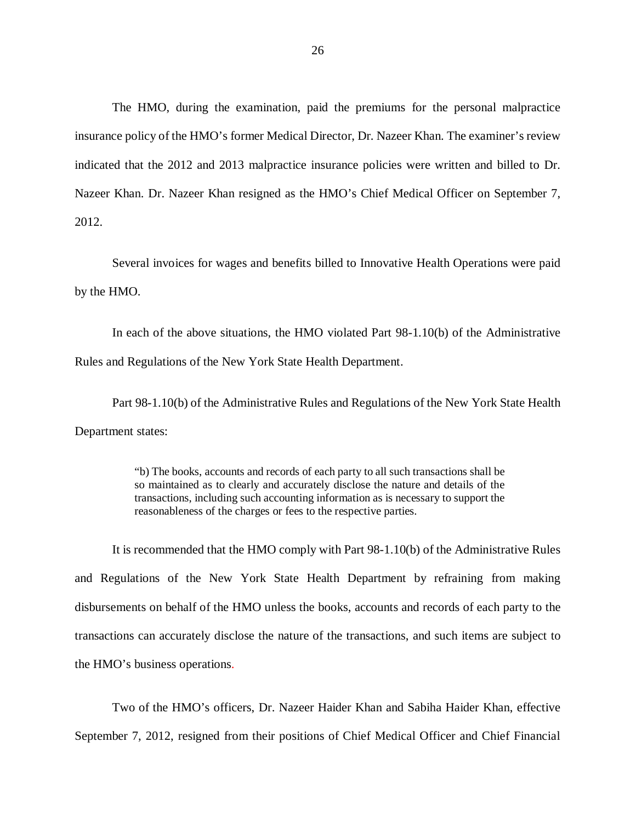insurance policy of the HMO's former Medical Director, Dr. Nazeer Khan. The examiner's review indicated that the 2012 and 2013 malpractice insurance policies were written and billed to Dr. Nazeer Khan. Dr. Nazeer Khan resigned as the HMO's Chief Medical Officer on September 7, The HMO, during the examination, paid the premiums for the personal malpractice 2012.

 Several invoices for wages and benefits billed to Innovative Health Operations were paid by the HMO.

 Rules and Regulations of the New York State Health Department. In each of the above situations, the HMO violated Part 98-1.10(b) of the Administrative

 Department states: Part 98-1.10(b) of the Administrative Rules and Regulations of the New York State Health

> "b) The books, accounts and records of each party to all such transactions shall be so maintained as to clearly and accurately disclose the nature and details of the transactions, including such accounting information as is necessary to support the reasonableness of the charges or fees to the respective parties.

 and Regulations of the New York State Health Department by refraining from making disbursements on behalf of the HMO unless the books, accounts and records of each party to the transactions can accurately disclose the nature of the transactions, and such items are subject to the HMO's business operations. It is recommended that the HMO comply with Part 98-1.10(b) of the Administrative Rules

 Two of the HMO's officers, Dr. Nazeer Haider Khan and Sabiha Haider Khan, effective September 7, 2012, resigned from their positions of Chief Medical Officer and Chief Financial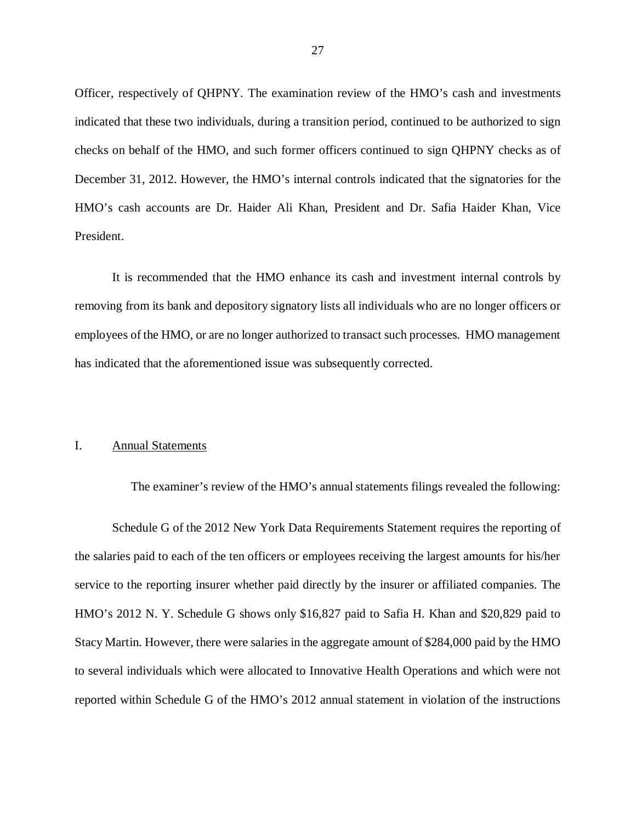<span id="page-28-0"></span> Officer, respectively of QHPNY. The examination review of the HMO's cash and investments indicated that these two individuals, during a transition period, continued to be authorized to sign checks on behalf of the HMO, and such former officers continued to sign QHPNY checks as of December 31, 2012. However, the HMO's internal controls indicated that the signatories for the HMO's cash accounts are Dr. Haider Ali Khan, President and Dr. Safia Haider Khan, Vice President.

 It is recommended that the HMO enhance its cash and investment internal controls by removing from its bank and depository signatory lists all individuals who are no longer officers or employees of the HMO, or are no longer authorized to transact such processes. HMO management has indicated that the aforementioned issue was subsequently corrected.

### I. Annual Statements

 Schedule G of the 2012 New York Data Requirements Statement requires the reporting of the salaries paid to each of the ten officers or employees receiving the largest amounts for his/her service to the reporting insurer whether paid directly by the insurer or affiliated companies. The HMO's 2012 N. Y. Schedule G shows only \$16,827 paid to Safia H. Khan and \$20,829 paid to Stacy Martin. However, there were salaries in the aggregate amount of \$284,000 paid by the HMO to several individuals which were allocated to Innovative Health Operations and which were not reported within Schedule G of the HMO's 2012 annual statement in violation of the instructions

The examiner's review of the HMO's annual statements filings revealed the following: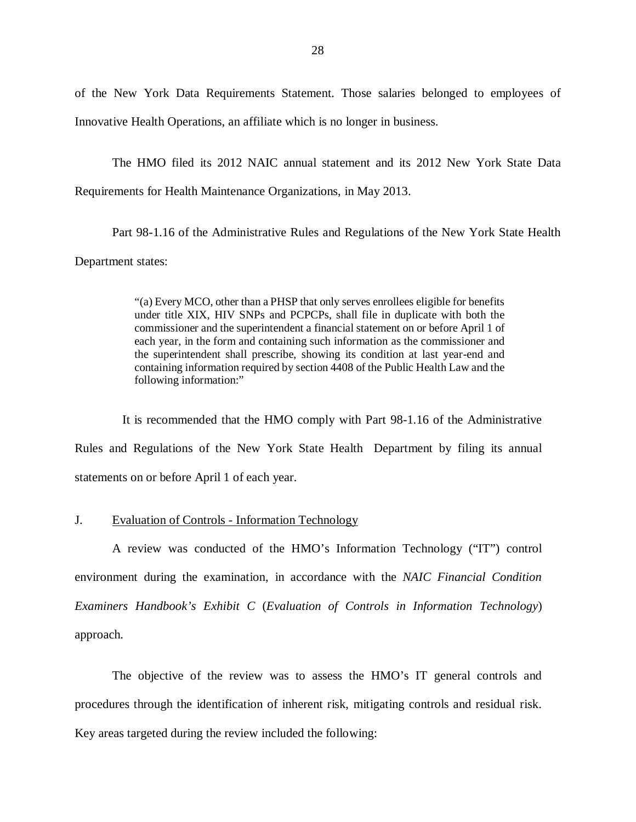<span id="page-29-0"></span> of the New York Data Requirements Statement. Those salaries belonged to employees of Innovative Health Operations, an affiliate which is no longer in business.

 Requirements for Health Maintenance Organizations, in May 2013. The HMO filed its 2012 NAIC annual statement and its 2012 New York State Data

 Part 98-1.16 of the Administrative Rules and Regulations of the New York State Health Department states:

> "(a) Every MCO, other than a PHSP that only serves enrollees eligible for benefits under title XIX, HIV SNPs and PCPCPs, shall file in duplicate with both the commissioner and the superintendent a financial statement on or before April 1 of each year, in the form and containing such information as the commissioner and the superintendent shall prescribe, showing its condition at last year-end and containing information required by section 4408 of the Public Health Law and the following information:"

 Rules and Regulations of the New York State Health Department by filing its annual statements on or before April 1 of each year. It is recommended that the HMO comply with Part 98-1.16 of the Administrative

### J. Evaluation of Controls - Information Technology

 A review was conducted of the HMO's Information Technology ("IT") control environment during the examination, in accordance with the *NAIC Financial Condition Examiners Handbook's Exhibit C* (*Evaluation of Controls in Information Technology*) approach.

 The objective of the review was to assess the HMO's IT general controls and procedures through the identification of inherent risk, mitigating controls and residual risk. Key areas targeted during the review included the following: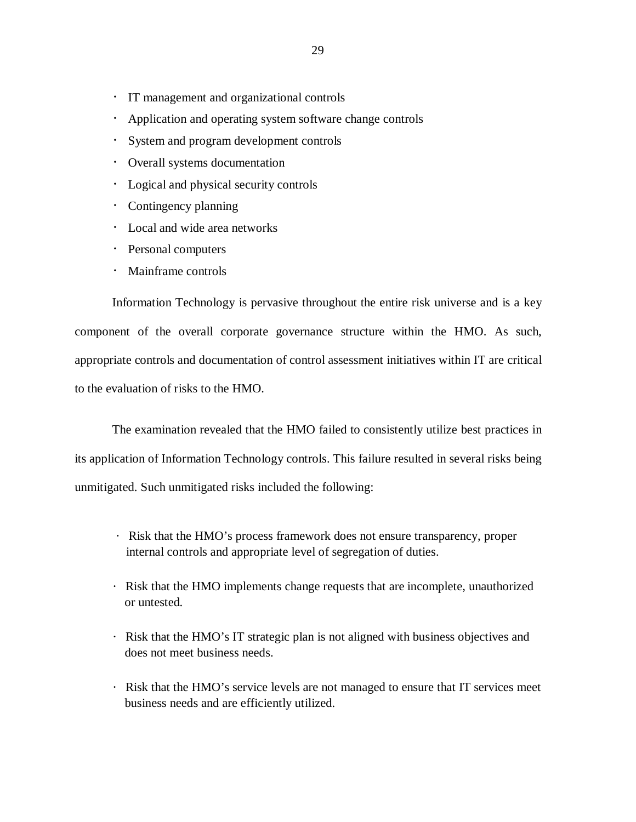- IT management and organizational controls
- Application and operating system software change controls
- System and program development controls
- Overall systems documentation
- Logical and physical security controls
- Contingency planning
- Local and wide area networks
- Personal computers
- Mainframe controls

 Information Technology is pervasive throughout the entire risk universe and is a key component of the overall corporate governance structure within the HMO. As such, appropriate controls and documentation of control assessment initiatives within IT are critical to the evaluation of risks to the HMO.

 The examination revealed that the HMO failed to consistently utilize best practices in its application of Information Technology controls. This failure resulted in several risks being unmitigated. Such unmitigated risks included the following:

- internal controls and appropriate level of segregation of duties. Risk that the HMO's process framework does not ensure transparency, proper
- Risk that the HMO implements change requests that are incomplete, unauthorized or untested.
- Risk that the HMO's IT strategic plan is not aligned with business objectives and does not meet business needs.
- Risk that the HMO's service levels are not managed to ensure that IT services meet business needs and are efficiently utilized.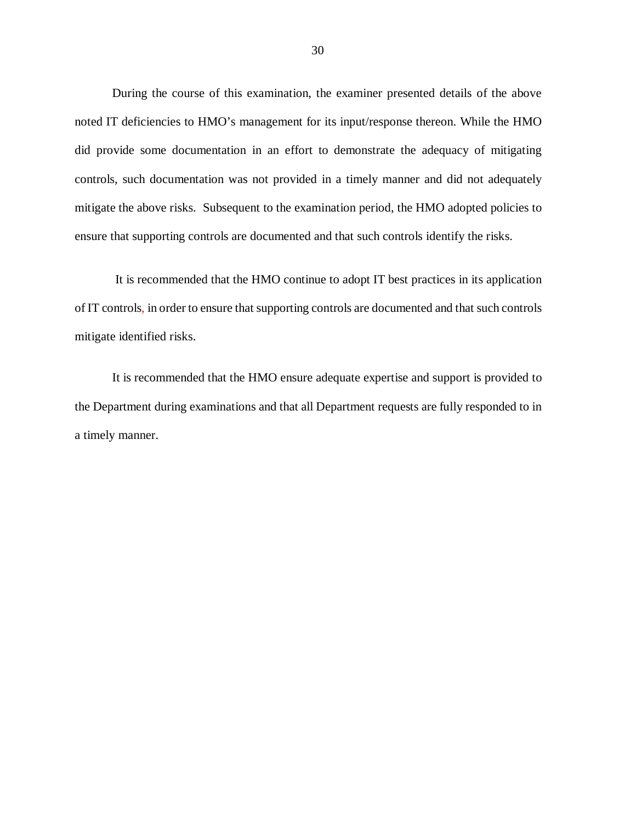During the course of this examination, the examiner presented details of the above noted IT deficiencies to HMO's management for its input/response thereon. While the HMO did provide some documentation in an effort to demonstrate the adequacy of mitigating controls, such documentation was not provided in a timely manner and did not adequately mitigate the above risks. Subsequent to the examination period, the HMO adopted policies to ensure that supporting controls are documented and that such controls identify the risks.

 It is recommended that the HMO continue to adopt IT best practices in its application of IT controls, in order to ensure that supporting controls are documented and that such controls mitigate identified risks.

 the Department during examinations and that all Department requests are fully responded to in a timely manner. It is recommended that the HMO ensure adequate expertise and support is provided to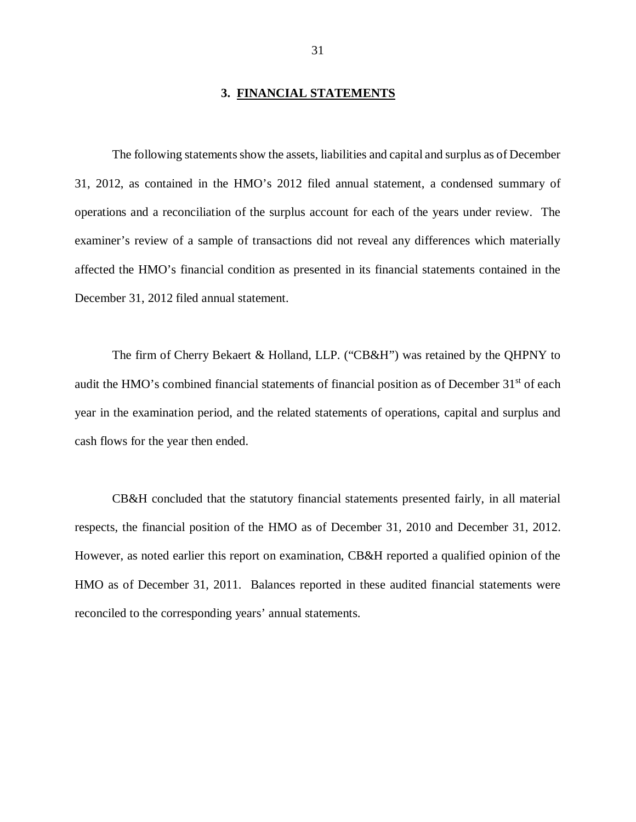### **3. FINANCIAL STATEMENTS**

<span id="page-32-0"></span> The following statements show the assets, liabilities and capital and surplus as of December 31, 2012, as contained in the HMO's 2012 filed annual statement, a condensed summary of operations and a reconciliation of the surplus account for each of the years under review. The examiner's review of a sample of transactions did not reveal any differences which materially affected the HMO's financial condition as presented in its financial statements contained in the December 31, 2012 filed annual statement.

 The firm of Cherry Bekaert & Holland, LLP. ("CB&H") was retained by the QHPNY to audit the HMO's combined financial statements of financial position as of December 31<sup>st</sup> of each year in the examination period, and the related statements of operations, capital and surplus and cash flows for the year then ended.

 CB&H concluded that the statutory financial statements presented fairly, in all material respects, the financial position of the HMO as of December 31, 2010 and December 31, 2012. However, as noted earlier this report on examination, CB&H reported a qualified opinion of the HMO as of December 31, 2011. Balances reported in these audited financial statements were reconciled to the corresponding years' annual statements.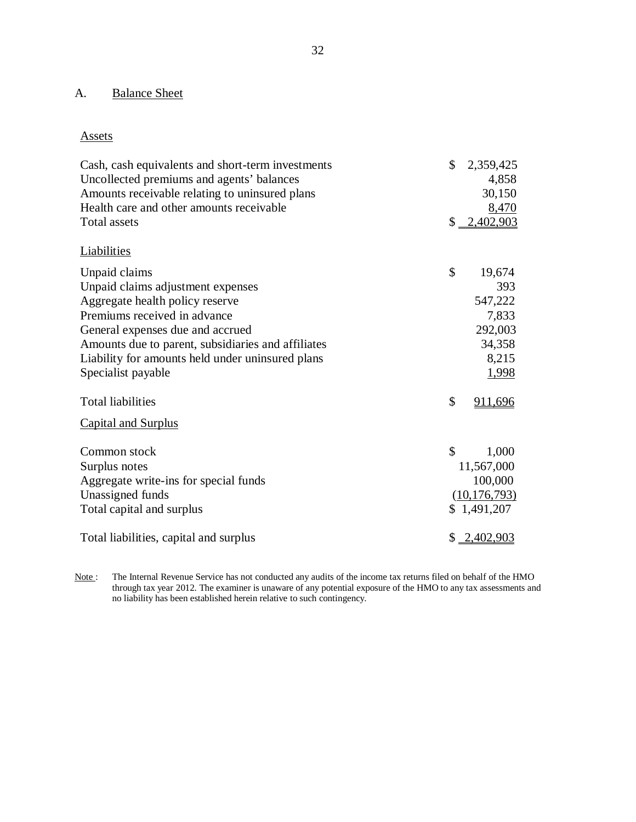### <span id="page-33-0"></span>A. **Balance Sheet**

## Assets

| Cash, cash equivalents and short-term investments<br>Uncollected premiums and agents' balances<br>Amounts receivable relating to uninsured plans | $\mathbb{S}$ | 2,359,425<br>4,858<br>30,150 |
|--------------------------------------------------------------------------------------------------------------------------------------------------|--------------|------------------------------|
| Health care and other amounts receivable<br><b>Total assets</b>                                                                                  |              | 8,470<br>$$ -2,402,903$      |
|                                                                                                                                                  |              |                              |
| Liabilities                                                                                                                                      |              |                              |
| Unpaid claims                                                                                                                                    | \$           | 19,674                       |
| Unpaid claims adjustment expenses                                                                                                                |              | 393                          |
| Aggregate health policy reserve                                                                                                                  |              | 547,222                      |
| Premiums received in advance                                                                                                                     |              | 7,833                        |
| General expenses due and accrued                                                                                                                 |              | 292,003                      |
| Amounts due to parent, subsidiaries and affiliates<br>Liability for amounts held under uninsured plans                                           |              | 34,358<br>8,215              |
| Specialist payable                                                                                                                               |              | 1,998                        |
|                                                                                                                                                  |              |                              |
| <b>Total liabilities</b>                                                                                                                         | \$           | 911,696                      |
| <b>Capital and Surplus</b>                                                                                                                       |              |                              |
| Common stock                                                                                                                                     | \$           | 1,000                        |
| Surplus notes                                                                                                                                    |              | 11,567,000                   |
| Aggregate write-ins for special funds                                                                                                            |              | 100,000                      |
| Unassigned funds                                                                                                                                 |              | (10, 176, 793)               |
| Total capital and surplus                                                                                                                        |              | \$1,491,207                  |
| Total liabilities, capital and surplus                                                                                                           |              | $$ \_2,402,903$              |

 $Note:$  through tax year 2012. The examiner is unaware of any potential exposure of the HMO to any tax assessments and no liability has been established herein relative to such contingency. The Internal Revenue Service has not conducted any audits of the income tax returns filed on behalf of the HMO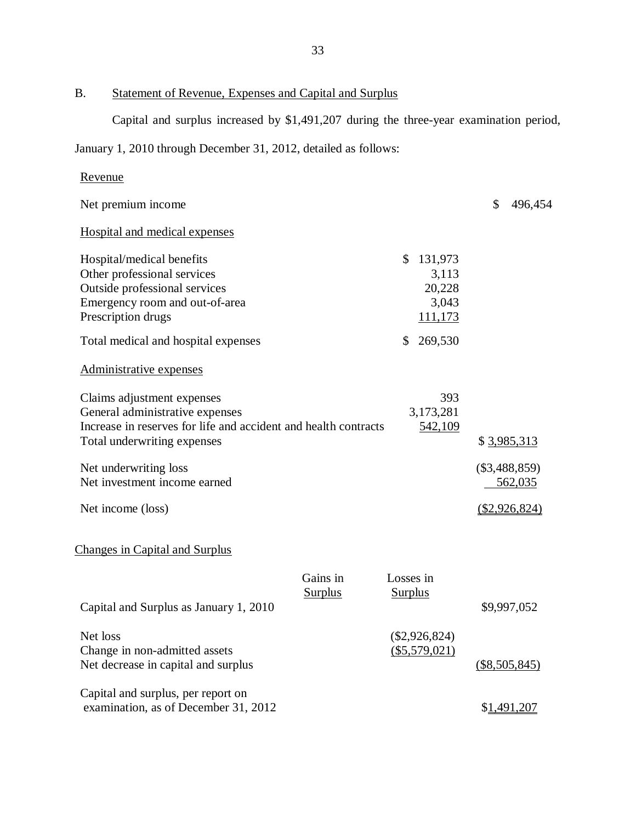B. Statement of Revenue, Expenses and Capital and Surplus

Capital and surplus increased by \$1,491,207 during the three-year examination period,

January 1, 2010 through December 31, 2012, detailed as follows:

| <u>Revenue</u>                                                                                                                                                  |                            |                                                      |                            |
|-----------------------------------------------------------------------------------------------------------------------------------------------------------------|----------------------------|------------------------------------------------------|----------------------------|
| Net premium income                                                                                                                                              |                            |                                                      | \$<br>496,454              |
| <b>Hospital and medical expenses</b>                                                                                                                            |                            |                                                      |                            |
| Hospital/medical benefits<br>Other professional services<br>Outside professional services<br>Emergency room and out-of-area<br>Prescription drugs               |                            | \$<br>131,973<br>3,113<br>20,228<br>3,043<br>111,173 |                            |
| Total medical and hospital expenses                                                                                                                             |                            | \$<br>269,530                                        |                            |
| Administrative expenses                                                                                                                                         |                            |                                                      |                            |
| Claims adjustment expenses<br>General administrative expenses<br>Increase in reserves for life and accident and health contracts<br>Total underwriting expenses |                            | 393<br>3,173,281<br>542,109                          | \$ 3,985,313               |
| Net underwriting loss<br>Net investment income earned                                                                                                           |                            |                                                      | $(\$3,488,859)$<br>562,035 |
| Net income (loss)                                                                                                                                               |                            |                                                      | (\$2,926,824)              |
| <b>Changes in Capital and Surplus</b>                                                                                                                           |                            |                                                      |                            |
| Capital and Surplus as January 1, 2010                                                                                                                          | Gains in<br><b>Surplus</b> | Losses in<br><b>Surplus</b>                          | \$9,997,052                |
| Net loss<br>Change in non-admitted assets<br>Net decrease in capital and surplus                                                                                |                            | $(\$2,926,824)$<br>(\$5,579,021)                     | $($8,505,845)$             |
| Capital and surplus, per report on<br>examination, as of December 31, 2012                                                                                      |                            |                                                      | \$1,491,207                |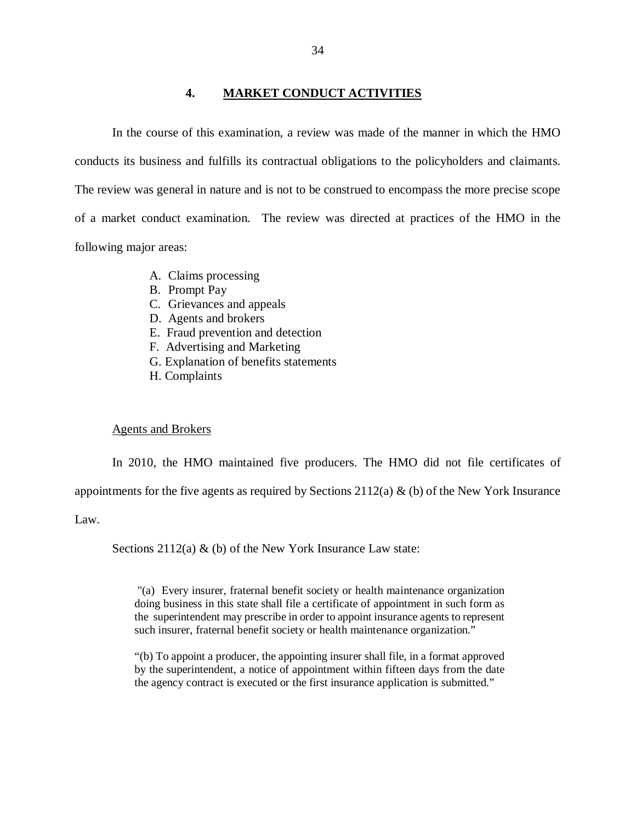## **4. MARKET CONDUCT ACTIVITIES**

<span id="page-35-0"></span> In the course of this examination, a review was made of the manner in which the HMO conducts its business and fulfills its contractual obligations to the policyholders and claimants. The review was general in nature and is not to be construed to encompass the more precise scope of a market conduct examination. The review was directed at practices of the HMO in the following major areas:

- A. Claims processing
- B. Prompt Pay
- C. Grievances and appeals
- D. Agents and brokers
- E. Fraud prevention and detection
- F. Advertising and Marketing
- G. Explanation of benefits statements
- H. Complaints

### Agents and Brokers

appointments for the five agents as required by Sections  $2112(a)$  & (b) of the New York Insurance In 2010, the HMO maintained five producers. The HMO did not file certificates of

Law.

Sections 2112(a) & (b) of the New York Insurance Law state:

 "(a) Every insurer, fraternal benefit society or health maintenance organization doing business in this state shall file a certificate of appointment in such form as the superintendent may prescribe in order to appoint insurance agents to represent such insurer, fraternal benefit society or health maintenance organization."

 "(b) To appoint a producer, the appointing insurer shall file, in a format approved by the superintendent, a notice of appointment within fifteen days from the date the agency contract is executed or the first insurance application is submitted."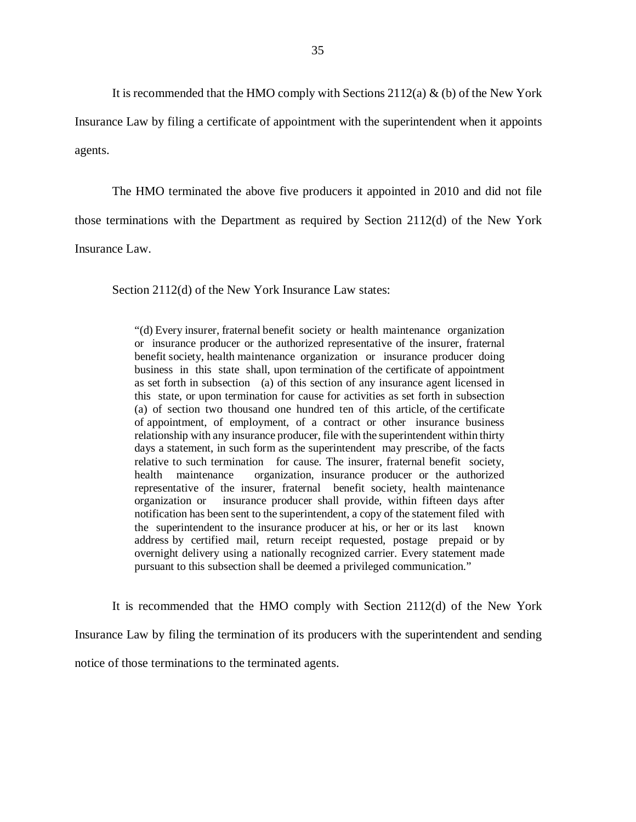It is recommended that the HMO comply with Sections  $2112(a)$  & (b) of the New York

 Insurance Law by filing a certificate of appointment with the superintendent when it appoints agents.

 The HMO terminated the above five producers it appointed in 2010 and did not file those terminations with the Department as required by Section 2112(d) of the New York Insurance Law.

Section 2112(d) of the New York Insurance Law states:

 "(d) Every insurer, fraternal benefit society or health maintenance organization or insurance producer or the authorized representative of the insurer, fraternal benefit society, health maintenance organization or insurance producer doing business in this state shall, upon termination of the certificate of appointment as set forth in subsection (a) of this section of any insurance agent licensed in this state, or upon termination for cause for activities as set forth in subsection (a) of section two thousand one hundred ten of this article, of the certificate of appointment, of employment, of a contract or other insurance business relationship with any insurance producer, file with the superintendent within thirty days a statement, in such form as the superintendent may prescribe, of the facts relative to such termination for cause. The insurer, fraternal benefit society, health maintenance representative of the insurer, fraternal benefit society, health maintenance organization or notification has been sent to the superintendent, a copy of the statement filed with the superintendent to the insurance producer at his, or her or its last known address by certified mail, return receipt requested, postage prepaid or by overnight delivery using a nationally recognized carrier. Every statement made pursuant to this subsection shall be deemed a privileged communication." organization, insurance producer or the authorized insurance producer shall provide, within fifteen days after

 It is recommended that the HMO comply with Section 2112(d) of the New York Insurance Law by filing the termination of its producers with the superintendent and sending notice of those terminations to the terminated agents.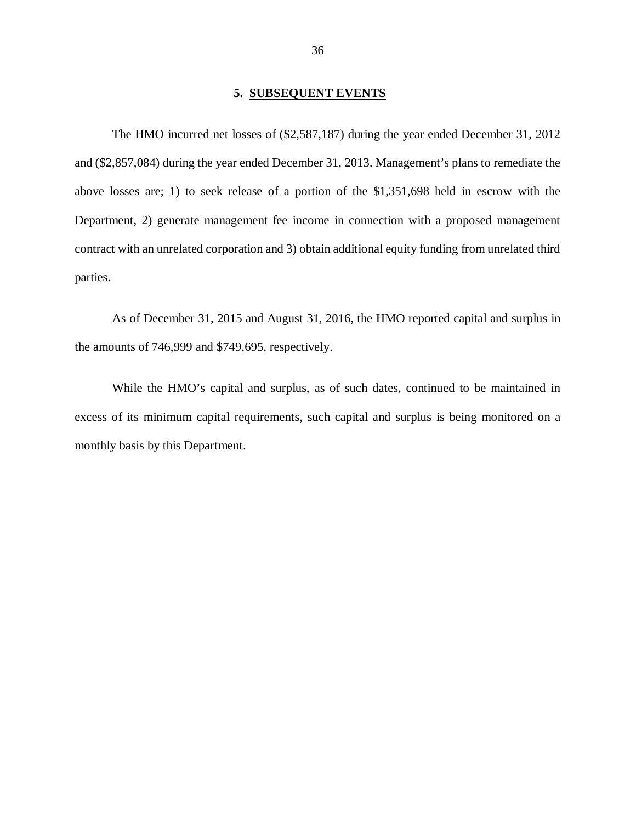### **5. SUBSEQUENT EVENTS**

<span id="page-37-0"></span> The HMO incurred net losses of (\$2,587,187) during the year ended December 31, 2012 and (\$2,857,084) during the year ended December 31, 2013. Management's plans to remediate the above losses are; 1) to seek release of a portion of the \$1,351,698 held in escrow with the Department, 2) generate management fee income in connection with a proposed management contract with an unrelated corporation and 3) obtain additional equity funding from unrelated third parties.

parties.<br>As of December 31, 2015 and August 31, 2016, the HMO reported capital and surplus in the amounts of 746,999 and \$749,695, respectively.

 While the HMO's capital and surplus, as of such dates, continued to be maintained in excess of its minimum capital requirements, such capital and surplus is being monitored on a monthly basis by this Department.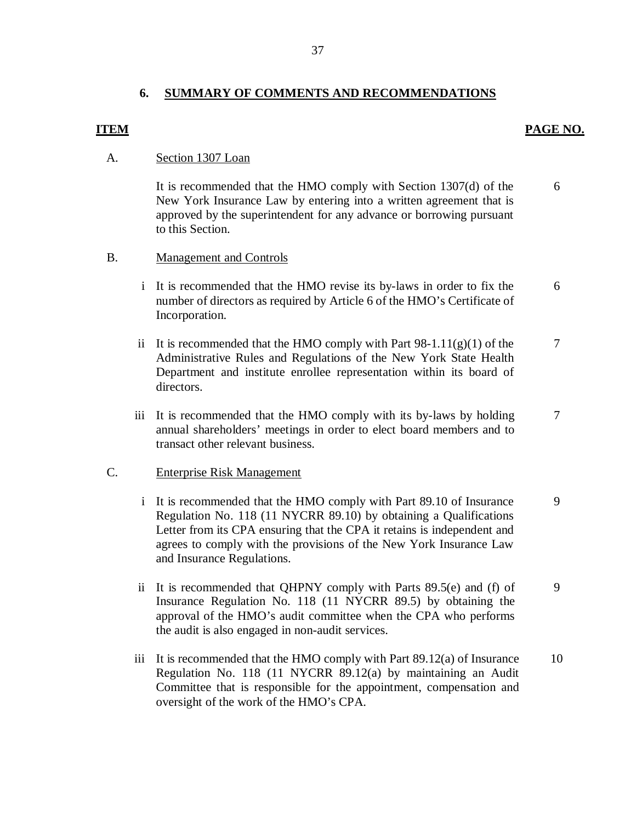### **6. SUMMARY OF COMMENTS AND RECOMMENDATIONS**

### **ITEM PAGE NO.**

### A. Section 1307 Loan

 New York Insurance Law by entering into a written agreement that is approved by the superintendent for any advance or borrowing pursuant It is recommended that the HMO comply with Section 1307(d) of the to this Section. 6

## B. Management and Controls

- number of directors as required by Article 6 of the HMO's Certificate of i It is recommended that the HMO revise its by-laws in order to fix the Incorporation. 6
- ii It is recommended that the HMO comply with Part  $98-1.11(g)(1)$  of the Administrative Rules and Regulations of the New York State Health Department and institute enrollee representation within its board of directors. It is recommended that the HMO comply with Part  $98-1.11(g)(1)$  of the 7<br>Administrative Rules and Regulations of the New York State Health<br>Department and institute enrollee representation within its board of<br>directors.
- annual shareholders' meetings in order to elect board members and to transact other relevant business. iii It is recommended that the HMO comply with its by-laws by holding 7

### C. Enterprise Risk Management

- Regulation No. 118 (11 NYCRR 89.10) by obtaining a Qualifications Letter from its CPA ensuring that the CPA it retains is independent and agrees to comply with the provisions of the New York Insurance Law i It is recommended that the HMO comply with Part 89.10 of Insurance and Insurance Regulations. 9
- Insurance Regulation No. 118 (11 NYCRR 89.5) by obtaining the approval of the HMO's audit committee when the CPA who performs the audit is also engaged in non-audit services. ii It is recommended that QHPNY comply with Parts 89.5(e) and (f) of 9
- iii It is recommended that the HMO comply with Part 89.12(a) of Insurance Regulation No. 118 (11 NYCRR 89.12(a) by maintaining an Audit Committee that is responsible for the appointment, compensation and oversight of the work of the HMO's CPA. 10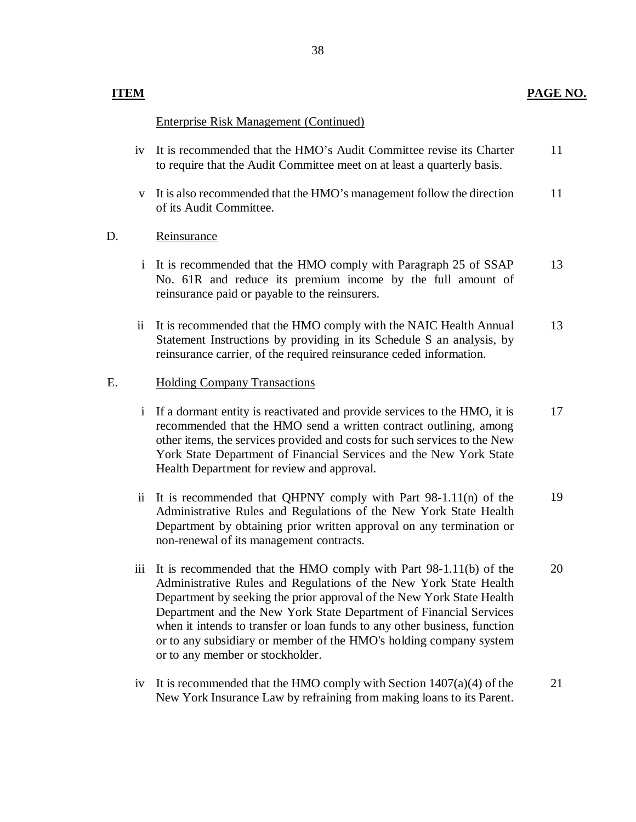# **PAGE NO.**

# **ITEM**

# Enterprise Risk Management (Continued)

- iv It is recommended that the HMO's Audit Committee revise its Charter to require that the Audit Committee meet on at least a quarterly basis. 11
- of its Audit Committee. v It is also recommended that the HMO's management follow the direction 11

# D. Reinsurance

- No. 61R and reduce its premium income by the full amount of reinsurance paid or payable to the reinsurers. i It is recommended that the HMO comply with Paragraph 25 of SSAP 13
- Statement Instructions by providing in its Schedule S an analysis, by reinsurance carrier, of the required reinsurance ceded information. ii It is recommended that the HMO comply with the NAIC Health Annual 13

# E. Holding Company Transactions

- i If a dormant entity is reactivated and provide services to the HMO, it is recommended that the HMO send a written contract outlining, among other items, the services provided and costs for such services to the New York State Department of Financial Services and the New York State Health Department for review and approval. 17
- Administrative Rules and Regulations of the New York State Health Department by obtaining prior written approval on any termination or non-renewal of its management contracts. ii It is recommended that QHPNY comply with Part 98-1.11(n) of the 19
- Administrative Rules and Regulations of the New York State Health Department by seeking the prior approval of the New York State Health when it intends to transfer or loan funds to any other business, function or to any subsidiary or member of the HMO's holding company system or to any member or stockholder. iii It is recommended that the HMO comply with Part 98-1.11(b) of the Department and the New York State Department of Financial Services 20
- iv It is recommended that the HMO comply with Section  $1407(a)(4)$  of the New York Insurance Law by refraining from making loans to its Parent. 21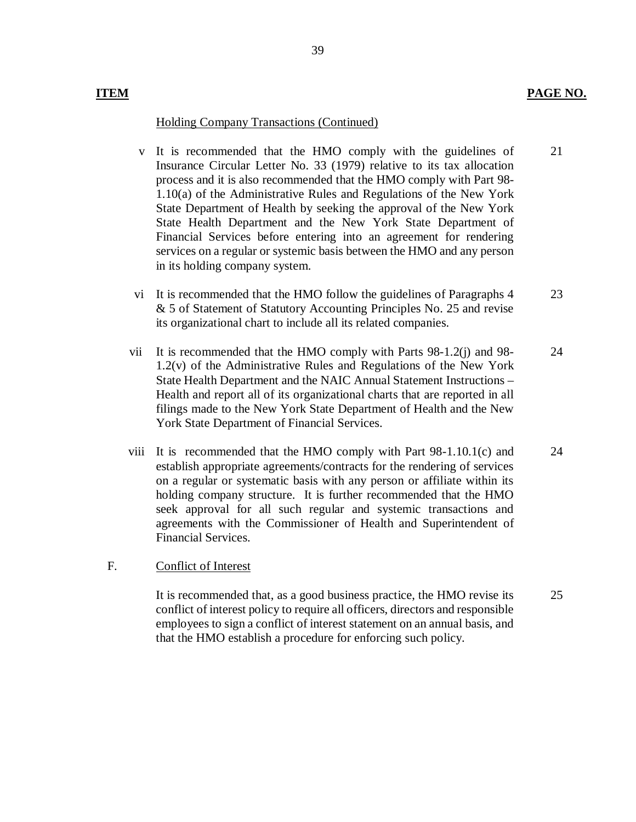## **ITEM PAGE NO.**

### Holding Company Transactions (Continued)

- Insurance Circular Letter No. 33 (1979) relative to its tax allocation process and it is also recommended that the HMO comply with Part 98- 1.10(a) of the Administrative Rules and Regulations of the New York State Department of Health by seeking the approval of the New York State Health Department and the New York State Department of Financial Services before entering into an agreement for rendering services on a regular or systemic basis between the HMO and any person in its holding company system. v It is recommended that the HMO comply with the guidelines of 21
- & 5 of Statement of Statutory Accounting Principles No. 25 and revise its organizational chart to include all its related companies. vi It is recommended that the HMO follow the guidelines of Paragraphs 4 23
- 1.2(v) of the Administrative Rules and Regulations of the New York State Health Department and the NAIC Annual Statement Instructions – Health and report all of its organizational charts that are reported in all filings made to the New York State Department of Health and the New York State Department of Financial Services. vii It is recommended that the HMO comply with Parts  $98-1.2(i)$  and  $98-1.2(i)$ 24
- establish appropriate agreements/contracts for the rendering of services on a regular or systematic basis with any person or affiliate within its holding company structure. It is further recommended that the HMO seek approval for all such regular and systemic transactions and agreements with the Commissioner of Health and Superintendent of Financial Services. viii It is recommended that the HMO comply with Part 98-1.10.1(c) and 24

### F. Conflict of Interest

 conflict of interest policy to require all officers, directors and responsible employees to sign a conflict of interest statement on an annual basis, and that the HMO establish a procedure for enforcing such policy. It is recommended that, as a good business practice, the HMO revise its 25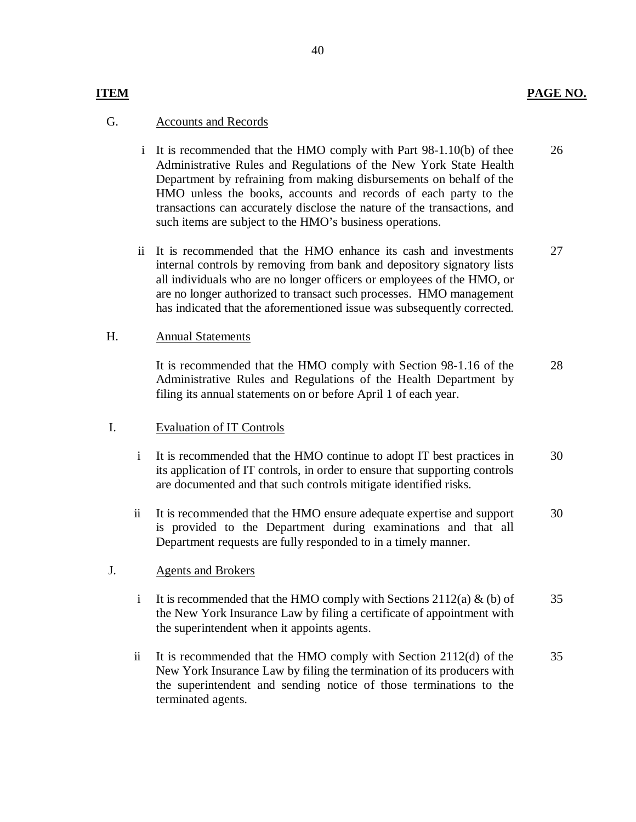# **ITEM PAGE NO.**

## G. Accounts and Records

- Administrative Rules and Regulations of the New York State Health Department by refraining from making disbursements on behalf of the HMO unless the books, accounts and records of each party to the transactions can accurately disclose the nature of the transactions, and such items are subject to the HMO's business operations. i It is recommended that the HMO comply with Part 98-1.10(b) of thee 26
- ii It is recommended that the HMO enhance its cash and investments internal controls by removing from bank and depository signatory lists all individuals who are no longer officers or employees of the HMO, or are no longer authorized to transact such processes. HMO management has indicated that the aforementioned issue was subsequently corrected. 27

### Annual Statements H.

 It is recommended that the HMO comply with Section 98-1.16 of the Administrative Rules and Regulations of the Health Department by filing its annual statements on or before April 1 of each year. 28

# I. Evaluation of IT Controls

- its application of IT controls, in order to ensure that supporting controls are documented and that such controls mitigate identified risks. i It is recommended that the HMO continue to adopt IT best practices in 30
- is provided to the Department during examinations and that all Department requests are fully responded to in a timely manner. ii It is recommended that the HMO ensure adequate expertise and support 30

### Agents and Brokers J.

- the New York Insurance Law by filing a certificate of appointment with the superintendent when it appoints agents. i It is recommended that the HMO comply with Sections 2112(a)  $\&$  (b) of 35
- New York Insurance Law by filing the termination of its producers with the superintendent and sending notice of those terminations to the ii It is recommended that the HMO comply with Section 2112(d) of the terminated agents. 35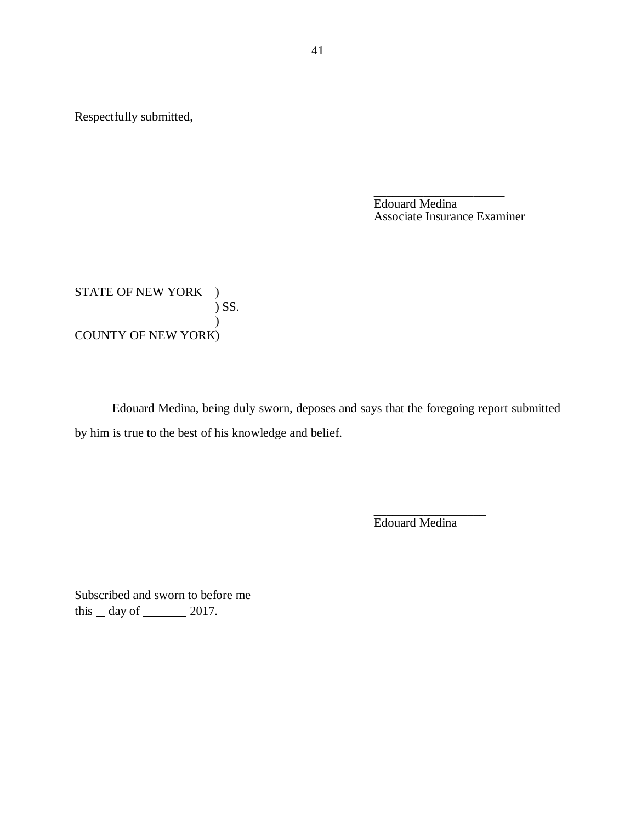Respectfully submitted,

 Associate Insurance Examiner \_\_\_\_\_\_\_\_\_\_\_\_\_\_\_\_\_\_\_\_\_ Edouard Medina

STATE OF NEW YORK ) COUNTY OF NEW YORK) ) SS. )

 Edouard Medina, being duly sworn, deposes and says that the foregoing report submitted by him is true to the best of his knowledge and belief.

> \_\_\_\_\_\_\_\_\_\_\_\_\_\_\_\_\_\_ Edouard Medina

 Subscribed and sworn to before me this  $\_\$  day of  $\_\_\_\_\$  2017.